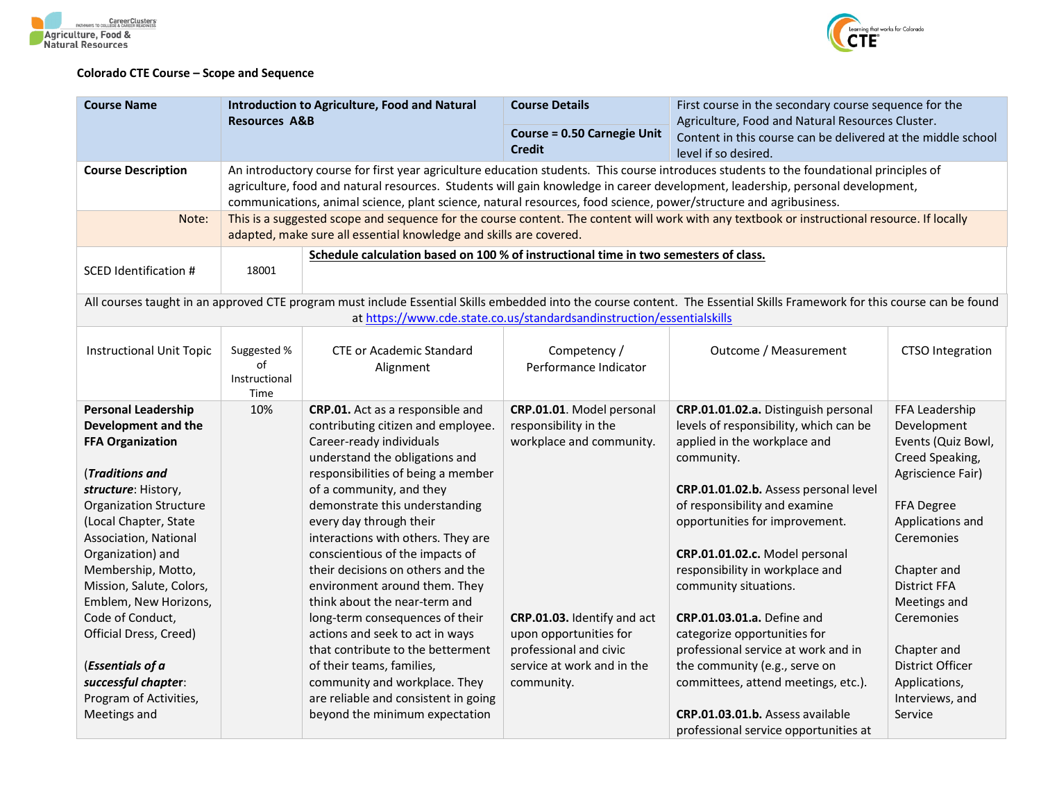



## **Colorado CTE Course – Scope and Sequence**

| <b>Course Name</b>                                | <b>Introduction to Agriculture, Food and Natural</b> |                                                                                                                   | <b>Course Details</b>                                                  | First course in the secondary course sequence for the                                                                                                                     |                                    |  |
|---------------------------------------------------|------------------------------------------------------|-------------------------------------------------------------------------------------------------------------------|------------------------------------------------------------------------|---------------------------------------------------------------------------------------------------------------------------------------------------------------------------|------------------------------------|--|
|                                                   | <b>Resources A&amp;B</b>                             |                                                                                                                   | <b>Course = 0.50 Carnegie Unit</b>                                     | Agriculture, Food and Natural Resources Cluster.                                                                                                                          |                                    |  |
|                                                   |                                                      |                                                                                                                   | <b>Credit</b>                                                          | Content in this course can be delivered at the middle school<br>level if so desired.                                                                                      |                                    |  |
| <b>Course Description</b>                         |                                                      |                                                                                                                   |                                                                        | An introductory course for first year agriculture education students. This course introduces students to the foundational principles of                                   |                                    |  |
|                                                   |                                                      |                                                                                                                   |                                                                        | agriculture, food and natural resources. Students will gain knowledge in career development, leadership, personal development,                                            |                                    |  |
|                                                   |                                                      | communications, animal science, plant science, natural resources, food science, power/structure and agribusiness. |                                                                        |                                                                                                                                                                           |                                    |  |
| Note:                                             |                                                      | adapted, make sure all essential knowledge and skills are covered.                                                |                                                                        | This is a suggested scope and sequence for the course content. The content will work with any textbook or instructional resource. If locally                              |                                    |  |
|                                                   |                                                      | Schedule calculation based on 100 % of instructional time in two semesters of class.                              |                                                                        |                                                                                                                                                                           |                                    |  |
| <b>SCED Identification #</b>                      | 18001                                                |                                                                                                                   |                                                                        |                                                                                                                                                                           |                                    |  |
|                                                   |                                                      |                                                                                                                   | at https://www.cde.state.co.us/standardsandinstruction/essentialskills | All courses taught in an approved CTE program must include Essential Skills embedded into the course content. The Essential Skills Framework for this course can be found |                                    |  |
|                                                   |                                                      |                                                                                                                   |                                                                        |                                                                                                                                                                           |                                    |  |
| <b>Instructional Unit Topic</b>                   | Suggested %                                          | <b>CTE or Academic Standard</b>                                                                                   | Competency /                                                           | Outcome / Measurement                                                                                                                                                     | <b>CTSO Integration</b>            |  |
|                                                   | of                                                   | Alignment                                                                                                         | Performance Indicator                                                  |                                                                                                                                                                           |                                    |  |
|                                                   | Instructional                                        |                                                                                                                   |                                                                        |                                                                                                                                                                           |                                    |  |
|                                                   | Time<br>10%                                          |                                                                                                                   |                                                                        |                                                                                                                                                                           |                                    |  |
| <b>Personal Leadership</b><br>Development and the |                                                      | CRP.01. Act as a responsible and<br>contributing citizen and employee.                                            | CRP.01.01. Model personal<br>responsibility in the                     | CRP.01.01.02.a. Distinguish personal<br>levels of responsibility, which can be                                                                                            | FFA Leadership<br>Development      |  |
| <b>FFA Organization</b>                           |                                                      | Career-ready individuals                                                                                          | workplace and community.                                               | applied in the workplace and                                                                                                                                              | Events (Quiz Bowl,                 |  |
|                                                   |                                                      | understand the obligations and                                                                                    |                                                                        | community.                                                                                                                                                                | Creed Speaking,                    |  |
| (Traditions and                                   |                                                      | responsibilities of being a member                                                                                |                                                                        |                                                                                                                                                                           | Agriscience Fair)                  |  |
| structure: History,                               |                                                      | of a community, and they                                                                                          |                                                                        | CRP.01.01.02.b. Assess personal level                                                                                                                                     |                                    |  |
| <b>Organization Structure</b>                     |                                                      | demonstrate this understanding                                                                                    |                                                                        | of responsibility and examine                                                                                                                                             | FFA Degree                         |  |
| (Local Chapter, State                             |                                                      | every day through their                                                                                           |                                                                        | opportunities for improvement.                                                                                                                                            | Applications and                   |  |
| Association, National                             |                                                      | interactions with others. They are                                                                                |                                                                        |                                                                                                                                                                           | <b>Ceremonies</b>                  |  |
| Organization) and                                 |                                                      | conscientious of the impacts of                                                                                   |                                                                        | CRP.01.01.02.c. Model personal                                                                                                                                            |                                    |  |
| Membership, Motto,<br>Mission, Salute, Colors,    |                                                      | their decisions on others and the<br>environment around them. They                                                |                                                                        | responsibility in workplace and<br>community situations.                                                                                                                  | Chapter and<br><b>District FFA</b> |  |
| Emblem, New Horizons,                             |                                                      | think about the near-term and                                                                                     |                                                                        |                                                                                                                                                                           | Meetings and                       |  |
| Code of Conduct,                                  |                                                      | long-term consequences of their                                                                                   | CRP.01.03. Identify and act                                            | <b>CRP.01.03.01.a.</b> Define and                                                                                                                                         | <b>Ceremonies</b>                  |  |
| Official Dress, Creed)                            |                                                      | actions and seek to act in ways                                                                                   | upon opportunities for                                                 | categorize opportunities for                                                                                                                                              |                                    |  |
|                                                   |                                                      | that contribute to the betterment                                                                                 | professional and civic                                                 | professional service at work and in                                                                                                                                       | Chapter and                        |  |
| (Essentials of a                                  |                                                      | of their teams, families,                                                                                         | service at work and in the                                             | the community (e.g., serve on                                                                                                                                             | District Officer                   |  |
| successful chapter:                               |                                                      | community and workplace. They                                                                                     | community.                                                             | committees, attend meetings, etc.).                                                                                                                                       | Applications,                      |  |
| Program of Activities,                            |                                                      | are reliable and consistent in going                                                                              |                                                                        |                                                                                                                                                                           | Interviews, and                    |  |
| Meetings and                                      |                                                      | beyond the minimum expectation                                                                                    |                                                                        | CRP.01.03.01.b. Assess available                                                                                                                                          | Service                            |  |
|                                                   |                                                      |                                                                                                                   |                                                                        | professional service opportunities at                                                                                                                                     |                                    |  |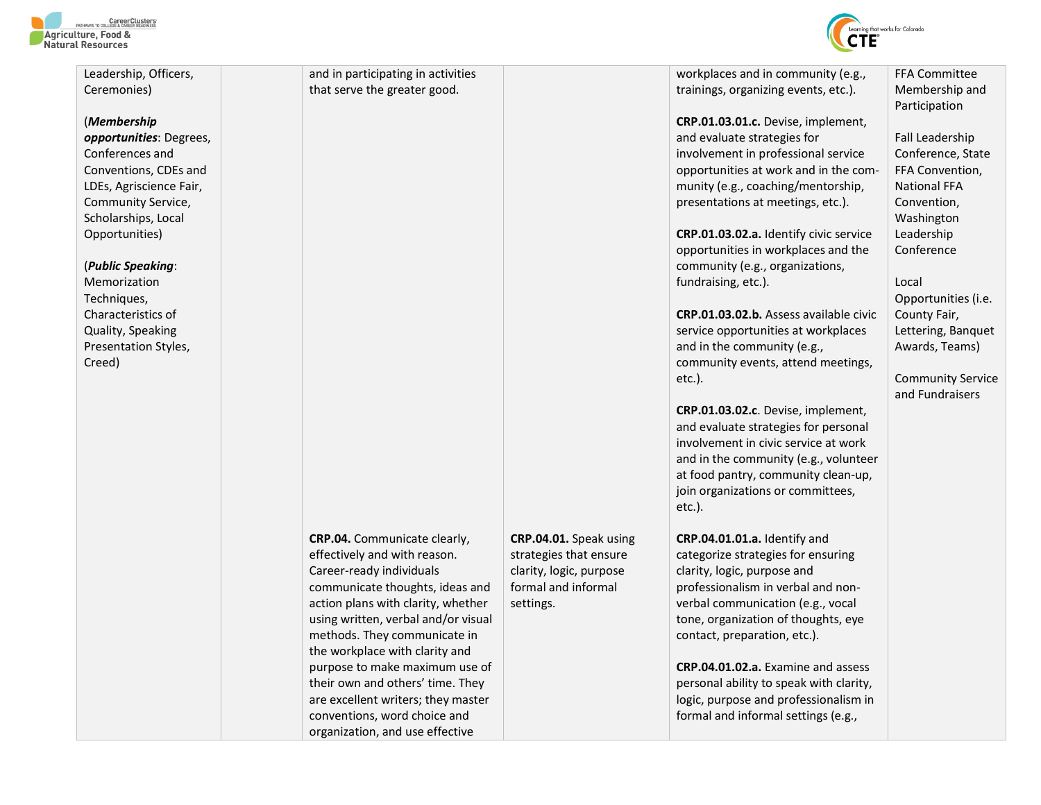



| Leadership, Officers,   | and in participating in activities                                    |                                                | workplaces and in community (e.g.,                                      | <b>FFA Committee</b>     |
|-------------------------|-----------------------------------------------------------------------|------------------------------------------------|-------------------------------------------------------------------------|--------------------------|
| Ceremonies)             | that serve the greater good.                                          |                                                | trainings, organizing events, etc.).                                    | Membership and           |
|                         |                                                                       |                                                |                                                                         | Participation            |
| (Membership             |                                                                       |                                                | CRP.01.03.01.c. Devise, implement,                                      |                          |
| opportunities: Degrees, |                                                                       |                                                | and evaluate strategies for                                             | Fall Leadership          |
| Conferences and         |                                                                       |                                                | involvement in professional service                                     | Conference, State        |
| Conventions, CDEs and   |                                                                       |                                                | opportunities at work and in the com-                                   | FFA Convention,          |
| LDEs, Agriscience Fair, |                                                                       |                                                | munity (e.g., coaching/mentorship,                                      | <b>National FFA</b>      |
| Community Service,      |                                                                       |                                                | presentations at meetings, etc.).                                       | Convention,              |
| Scholarships, Local     |                                                                       |                                                |                                                                         | Washington               |
| Opportunities)          |                                                                       |                                                | <b>CRP.01.03.02.a.</b> Identify civic service                           | Leadership               |
|                         |                                                                       |                                                | opportunities in workplaces and the                                     | Conference               |
| (Public Speaking:       |                                                                       |                                                | community (e.g., organizations,                                         |                          |
| Memorization            |                                                                       |                                                | fundraising, etc.).                                                     | Local                    |
| Techniques,             |                                                                       |                                                |                                                                         | Opportunities (i.e.      |
| Characteristics of      |                                                                       |                                                | CRP.01.03.02.b. Assess available civic                                  | County Fair,             |
| Quality, Speaking       |                                                                       |                                                | service opportunities at workplaces                                     | Lettering, Banquet       |
| Presentation Styles,    |                                                                       |                                                | and in the community (e.g.,                                             | Awards, Teams)           |
| Creed)                  |                                                                       |                                                | community events, attend meetings,                                      |                          |
|                         |                                                                       |                                                | $etc.$ ).                                                               | <b>Community Service</b> |
|                         |                                                                       |                                                |                                                                         | and Fundraisers          |
|                         |                                                                       |                                                | CRP.01.03.02.c. Devise, implement,                                      |                          |
|                         |                                                                       |                                                | and evaluate strategies for personal                                    |                          |
|                         |                                                                       |                                                | involvement in civic service at work                                    |                          |
|                         |                                                                       |                                                | and in the community (e.g., volunteer                                   |                          |
|                         |                                                                       |                                                | at food pantry, community clean-up,                                     |                          |
|                         |                                                                       |                                                | join organizations or committees,                                       |                          |
|                         |                                                                       |                                                | $etc.$ ).                                                               |                          |
|                         |                                                                       |                                                |                                                                         |                          |
|                         | <b>CRP.04.</b> Communicate clearly,                                   | CRP.04.01. Speak using                         | CRP.04.01.01.a. Identify and                                            |                          |
|                         | effectively and with reason.                                          | strategies that ensure                         | categorize strategies for ensuring                                      |                          |
|                         | Career-ready individuals                                              | clarity, logic, purpose<br>formal and informal | clarity, logic, purpose and                                             |                          |
|                         | communicate thoughts, ideas and<br>action plans with clarity, whether |                                                | professionalism in verbal and non-<br>verbal communication (e.g., vocal |                          |
|                         | using written, verbal and/or visual                                   | settings.                                      | tone, organization of thoughts, eye                                     |                          |
|                         | methods. They communicate in                                          |                                                | contact, preparation, etc.).                                            |                          |
|                         | the workplace with clarity and                                        |                                                |                                                                         |                          |
|                         | purpose to make maximum use of                                        |                                                | <b>CRP.04.01.02.a.</b> Examine and assess                               |                          |
|                         | their own and others' time. They                                      |                                                | personal ability to speak with clarity,                                 |                          |
|                         | are excellent writers; they master                                    |                                                | logic, purpose and professionalism in                                   |                          |
|                         | conventions, word choice and                                          |                                                | formal and informal settings (e.g.,                                     |                          |
|                         | organization, and use effective                                       |                                                |                                                                         |                          |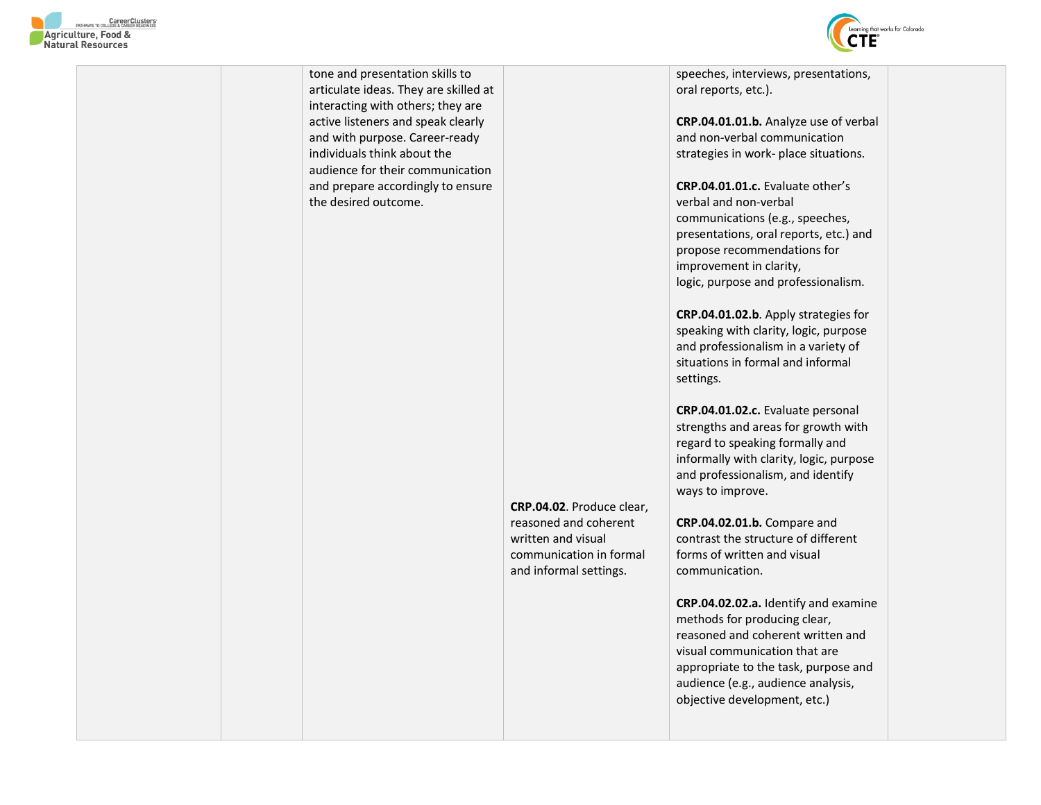

tone and presentation skills to articulate ideas. They are skilled at interacting with others; they are active listeners and speak clearly and with purpose. Career-ready individuals think about the audience for their communication and prepare accordingly to ensure the desired outcome. **CRP.04.02**. Produce clear, reasoned and coherent written and visual communication in formal and informal settings. speeches, interviews, presentations, oral reports, etc.). **CRP.04.01.01.b.** Analyze use of verbal and non-verbal communication strategies in work- place situations. **CRP.04.01.01.c.** Evaluate other's verbal and non-verbal communications (e.g., speeches, presentations, oral reports, etc.) and propose recommendations for improvement in clarity, logic, purpose and professionalism. **CRP.04.01.02.b**. Apply strategies for speaking with clarity, logic, purpose and professionalism in a variety of situations in formal and informal settings. **CRP.04.01.02.c.** Evaluate personal strengths and areas for growth with regard to speaking formally and informally with clarity, logic, purpose and professionalism, and identify ways to improve. **CRP.04.02.01.b.** Compare and contrast the structure of different forms of written and visual communication. **CRP.04.02.02.a.** Identify and examine methods for producing clear, reasoned and coherent written and visual communication that are appropriate to the task, purpose and audience (e.g., audience analysis, objective development, etc.)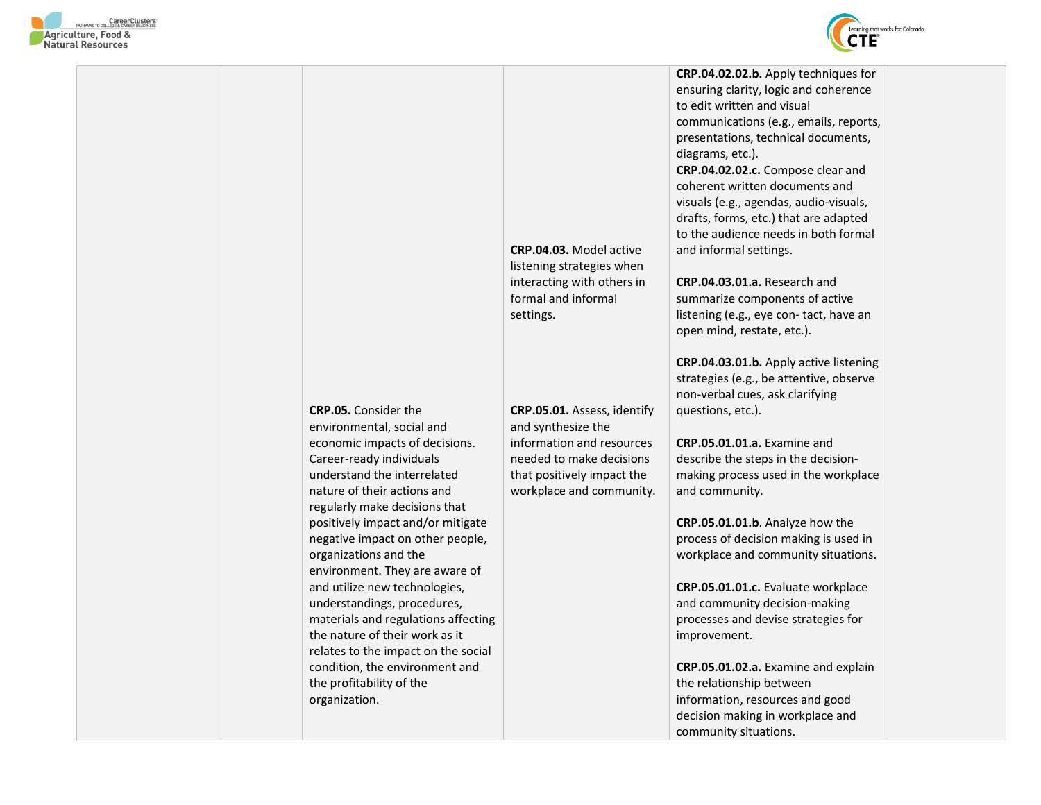



**CRP.05.** Consider the environmental, social and economic impacts of decisions. Career-ready individuals understand the interrelated nature of their actions and regularly make decisions that positively impact and/or mitigate negative impact on other people, organizations and the environment. They are aware of and utilize new technologies, understandings, procedures, materials and regulations affecting the nature of their work as it relates to the impact on the social condition, the environment and the profitability of the organization. **CRP.04.03.** Model active listening strategies when interacting with others in formal and informal settings. **CRP.05.01.** Assess, identify and synthesize the information and resources needed to make decisions that positively impact the workplace and community. **CRP.04.02.02.b.** Apply techniques for ensuring clarity, logic and coherence to edit written and visual communications (e.g., emails, reports, presentations, technical documents, diagrams, etc.). **CRP.04.02.02.c.** Compose clear and coherent written documents and visuals (e.g., agendas, audio-visuals, drafts, forms, etc.) that are adapted to the audience needs in both formal and informal settings. **CRP.04.03.01.a.** Research and summarize components of active listening (e.g., eye con- tact, have an open mind, restate, etc.). **CRP.04.03.01.b.** Apply active listening strategies (e.g., be attentive, observe non-verbal cues, ask clarifying questions, etc.). **CRP.05.01.01.a.** Examine and describe the steps in the decisionmaking process used in the workplace and community. **CRP.05.01.01.b**. Analyze how the process of decision making is used in workplace and community situations. **CRP.05.01.01.c.** Evaluate workplace and community decision-making processes and devise strategies for improvement. **CRP.05.01.02.a.** Examine and explain the relationship between information, resources and good decision making in workplace and community situations.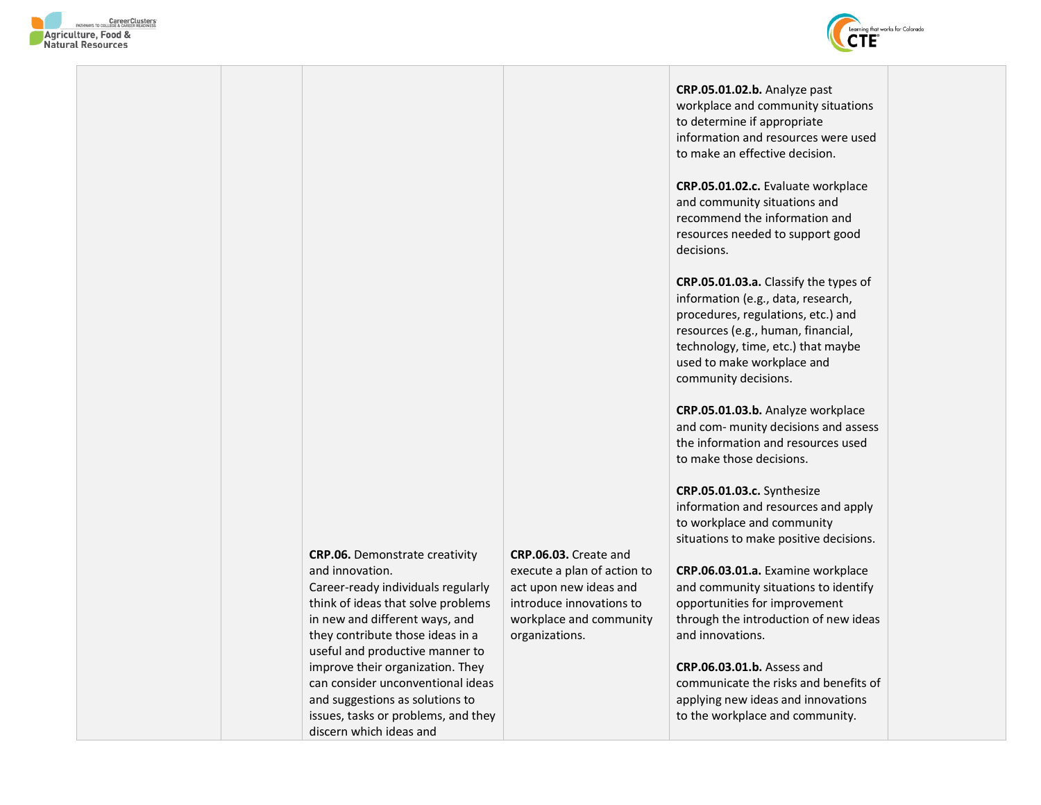



**CRP.05.01.02.b.** Analyze past workplace and community situations to determine if appropriate information and resources were used to make an effective decision.

**CRP.05.01.02.c.** Evaluate workplace and community situations and recommend the information and resources needed to support good decisions.

**CRP.05.01.03.a.** Classify the types of information (e.g., data, research, procedures, regulations, etc.) and resources (e.g., human, financial, technology, time, etc.) that maybe used to make workplace and community decisions.

**CRP.05.01.03.b.** Analyze workplace and com- munity decisions and assess the information and resources used to make those decisions.

**CRP.05.01.03.c.** Synthesize information and resources and apply to workplace and community situations to make positive decisions.

**CRP.06.03.01.a.** Examine workplace and community situations to identify opportunities for improvement through the introduction of new ideas and innovations.

**CRP.06.03.01.b.** Assess and communicate the risks and benefits of applying new ideas and innovations to the workplace and community.

**CRP.06.** Demonstrate creativity and innovation. Career-ready individuals regularly think of ideas that solve problems in new and different ways, and they contribute those ideas in a useful and productive manner to improve their organization. They can consider unconventional ideas and suggestions as solutions to issues, tasks or problems, and they

discern which ideas and

**CRP.06.03.** Create and execute a plan of action to act upon new ideas and introduce innovations to workplace and community organizations.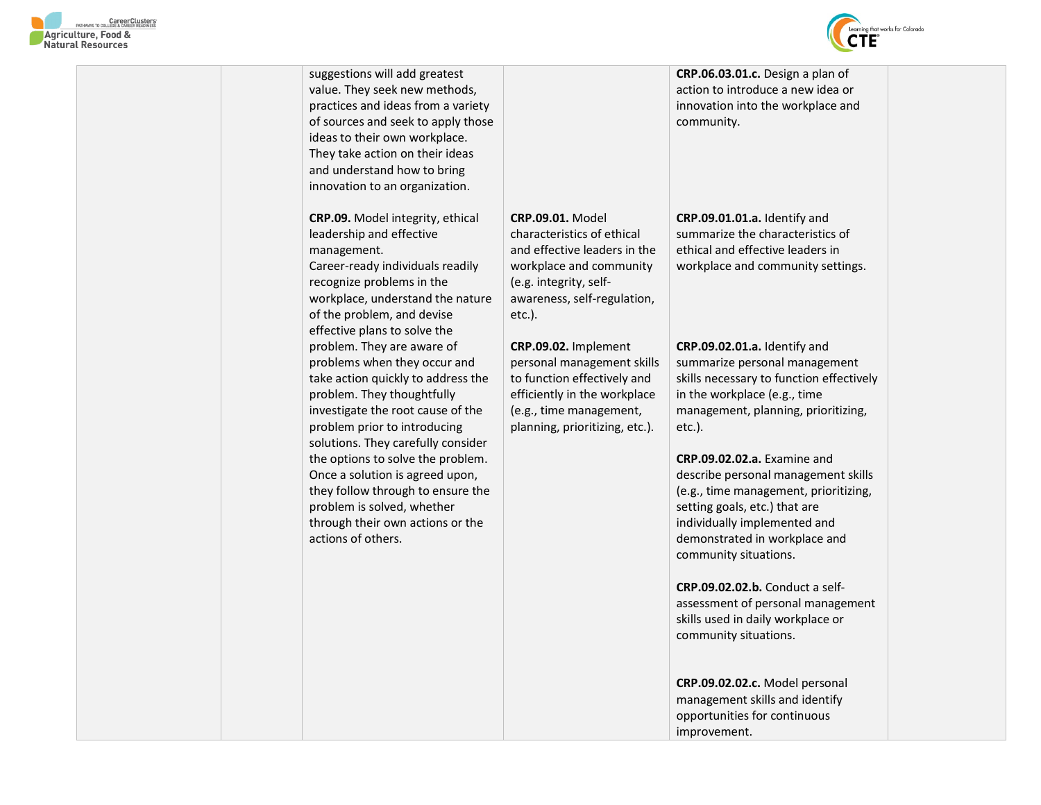

| suggestions will add greatest<br>value. They seek new methods,<br>practices and ideas from a variety<br>of sources and seek to apply those<br>ideas to their own workplace.<br>They take action on their ideas<br>and understand how to bring<br>innovation to an organization.                                                                                                                                                                |                                                                                                                                                                                        | CRP.06.03.01.c. Design a plan of<br>action to introduce a new idea or<br>innovation into the workplace and<br>community.                                                                                                                                                                                                                                                                                       |  |
|------------------------------------------------------------------------------------------------------------------------------------------------------------------------------------------------------------------------------------------------------------------------------------------------------------------------------------------------------------------------------------------------------------------------------------------------|----------------------------------------------------------------------------------------------------------------------------------------------------------------------------------------|----------------------------------------------------------------------------------------------------------------------------------------------------------------------------------------------------------------------------------------------------------------------------------------------------------------------------------------------------------------------------------------------------------------|--|
| CRP.09. Model integrity, ethical<br>leadership and effective<br>management.<br>Career-ready individuals readily<br>recognize problems in the<br>workplace, understand the nature<br>of the problem, and devise<br>effective plans to solve the                                                                                                                                                                                                 | <b>CRP.09.01. Model</b><br>characteristics of ethical<br>and effective leaders in the<br>workplace and community<br>(e.g. integrity, self-<br>awareness, self-regulation,<br>$etc.$ ). | CRP.09.01.01.a. Identify and<br>summarize the characteristics of<br>ethical and effective leaders in<br>workplace and community settings.                                                                                                                                                                                                                                                                      |  |
| problem. They are aware of<br>problems when they occur and<br>take action quickly to address the<br>problem. They thoughtfully<br>investigate the root cause of the<br>problem prior to introducing<br>solutions. They carefully consider<br>the options to solve the problem.<br>Once a solution is agreed upon,<br>they follow through to ensure the<br>problem is solved, whether<br>through their own actions or the<br>actions of others. | CRP.09.02. Implement<br>personal management skills<br>to function effectively and<br>efficiently in the workplace<br>(e.g., time management,<br>planning, prioritizing, etc.).         | CRP.09.02.01.a. Identify and<br>summarize personal management<br>skills necessary to function effectively<br>in the workplace (e.g., time<br>management, planning, prioritizing,<br>$etc.$ ).<br>CRP.09.02.02.a. Examine and<br>describe personal management skills<br>(e.g., time management, prioritizing,<br>setting goals, etc.) that are<br>individually implemented and<br>demonstrated in workplace and |  |
|                                                                                                                                                                                                                                                                                                                                                                                                                                                |                                                                                                                                                                                        | community situations.<br><b>CRP.09.02.02.b.</b> Conduct a self-<br>assessment of personal management<br>skills used in daily workplace or<br>community situations.                                                                                                                                                                                                                                             |  |
|                                                                                                                                                                                                                                                                                                                                                                                                                                                |                                                                                                                                                                                        | CRP.09.02.02.c. Model personal<br>management skills and identify<br>opportunities for continuous<br>improvement.                                                                                                                                                                                                                                                                                               |  |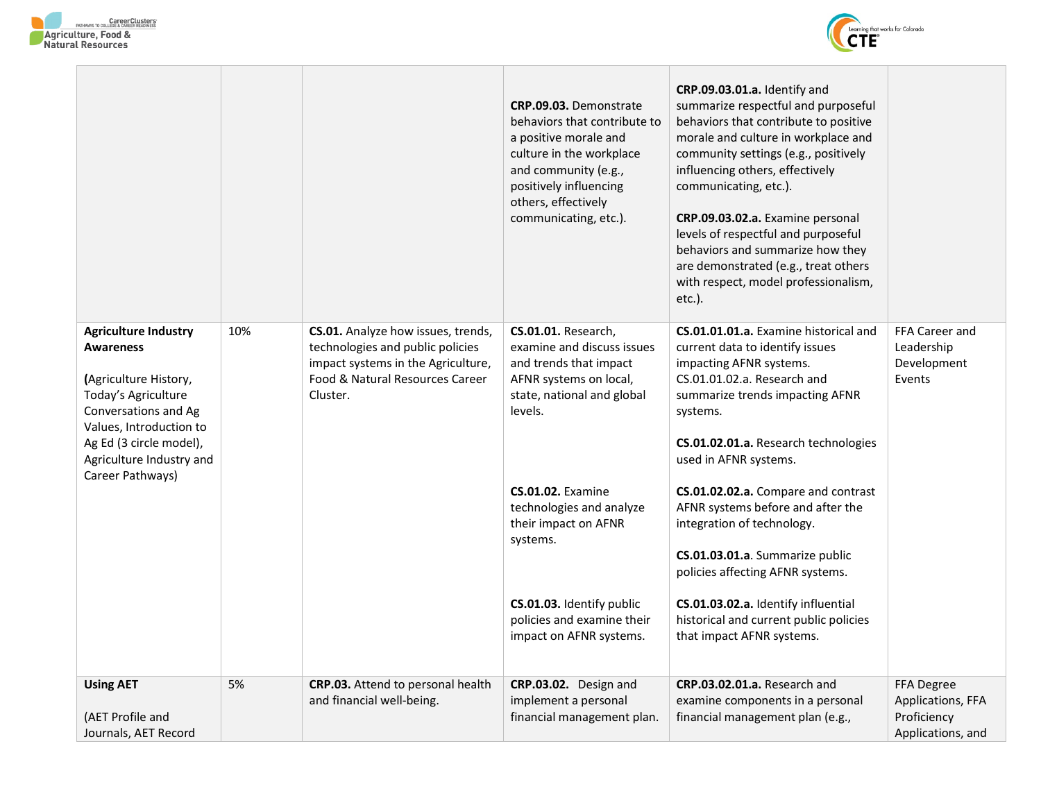**Contract** 

 $\mathbb{R}^+$ 

T



 $\overline{1}$ 

|                                                                                                                                                                                                                               |     |                                                                                                                                                             | CRP.09.03. Demonstrate<br>behaviors that contribute to<br>a positive morale and<br>culture in the workplace<br>and community (e.g.,<br>positively influencing<br>others, effectively<br>communicating, etc.).                                                                                                                                  | CRP.09.03.01.a. Identify and<br>summarize respectful and purposeful<br>behaviors that contribute to positive<br>morale and culture in workplace and<br>community settings (e.g., positively<br>influencing others, effectively<br>communicating, etc.).<br>CRP.09.03.02.a. Examine personal<br>levels of respectful and purposeful<br>behaviors and summarize how they<br>are demonstrated (e.g., treat others<br>with respect, model professionalism,<br>etc.).                                                                                  |                                                                     |
|-------------------------------------------------------------------------------------------------------------------------------------------------------------------------------------------------------------------------------|-----|-------------------------------------------------------------------------------------------------------------------------------------------------------------|------------------------------------------------------------------------------------------------------------------------------------------------------------------------------------------------------------------------------------------------------------------------------------------------------------------------------------------------|---------------------------------------------------------------------------------------------------------------------------------------------------------------------------------------------------------------------------------------------------------------------------------------------------------------------------------------------------------------------------------------------------------------------------------------------------------------------------------------------------------------------------------------------------|---------------------------------------------------------------------|
| <b>Agriculture Industry</b><br><b>Awareness</b><br>(Agriculture History,<br>Today's Agriculture<br>Conversations and Ag<br>Values, Introduction to<br>Ag Ed (3 circle model),<br>Agriculture Industry and<br>Career Pathways) | 10% | CS.01. Analyze how issues, trends,<br>technologies and public policies<br>impact systems in the Agriculture,<br>Food & Natural Resources Career<br>Cluster. | <b>CS.01.01.</b> Research,<br>examine and discuss issues<br>and trends that impact<br>AFNR systems on local,<br>state, national and global<br>levels.<br><b>CS.01.02.</b> Examine<br>technologies and analyze<br>their impact on AFNR<br>systems.<br><b>CS.01.03.</b> Identify public<br>policies and examine their<br>impact on AFNR systems. | CS.01.01.01.a. Examine historical and<br>current data to identify issues<br>impacting AFNR systems.<br>CS.01.01.02.a. Research and<br>summarize trends impacting AFNR<br>systems.<br>CS.01.02.01.a. Research technologies<br>used in AFNR systems.<br>CS.01.02.02.a. Compare and contrast<br>AFNR systems before and after the<br>integration of technology.<br>CS.01.03.01.a. Summarize public<br>policies affecting AFNR systems.<br>CS.01.03.02.a. Identify influential<br>historical and current public policies<br>that impact AFNR systems. | FFA Career and<br>Leadership<br>Development<br>Events               |
| <b>Using AET</b><br>(AET Profile and<br>Journals, AET Record                                                                                                                                                                  | 5%  | CRP.03. Attend to personal health<br>and financial well-being.                                                                                              | CRP.03.02. Design and<br>implement a personal<br>financial management plan.                                                                                                                                                                                                                                                                    | CRP.03.02.01.a. Research and<br>examine components in a personal<br>financial management plan (e.g.,                                                                                                                                                                                                                                                                                                                                                                                                                                              | FFA Degree<br>Applications, FFA<br>Proficiency<br>Applications, and |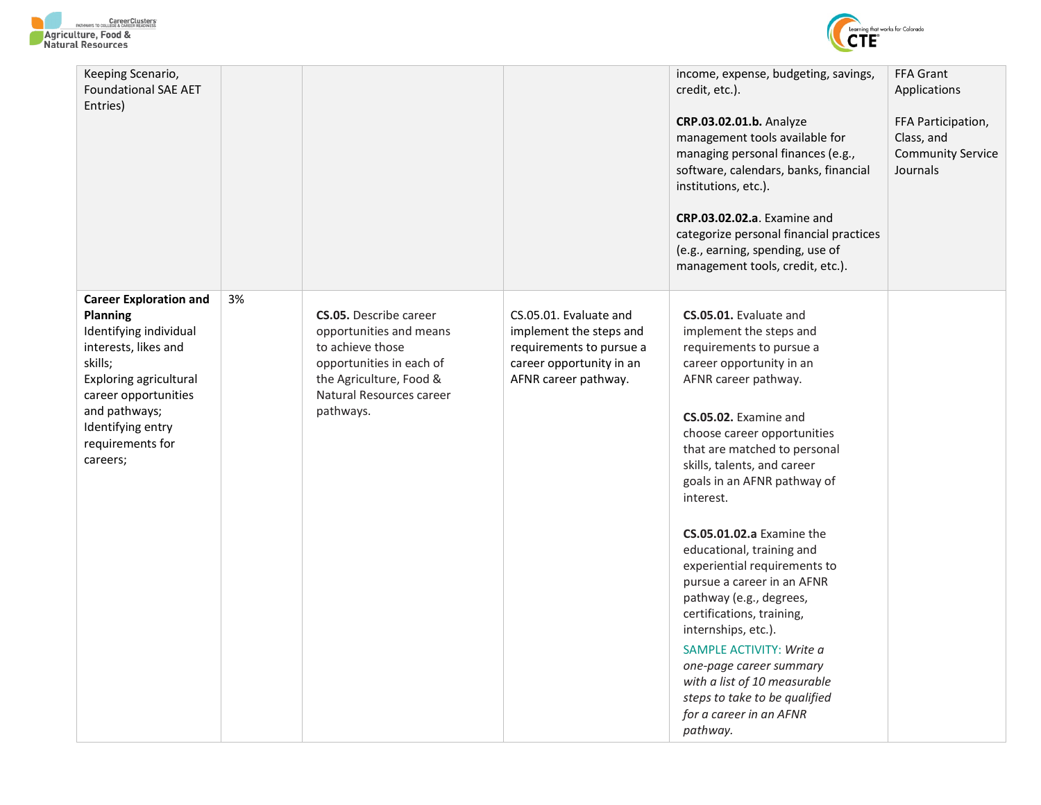



| Keeping Scenario,<br><b>Foundational SAE AET</b><br>Entries)                                                                                                                                                                   |    |                                                                                                                                                                              |                                                                                                                                   | income, expense, budgeting, savings,<br>credit, etc.).<br>CRP.03.02.01.b. Analyze<br>management tools available for<br>managing personal finances (e.g.,<br>software, calendars, banks, financial<br>institutions, etc.).<br>CRP.03.02.02.a. Examine and<br>categorize personal financial practices<br>(e.g., earning, spending, use of                                                                                                                                                                                                                                                                                                                                                                               | FFA Grant<br>Applications<br>FFA Participation,<br>Class, and<br><b>Community Service</b><br>Journals |
|--------------------------------------------------------------------------------------------------------------------------------------------------------------------------------------------------------------------------------|----|------------------------------------------------------------------------------------------------------------------------------------------------------------------------------|-----------------------------------------------------------------------------------------------------------------------------------|-----------------------------------------------------------------------------------------------------------------------------------------------------------------------------------------------------------------------------------------------------------------------------------------------------------------------------------------------------------------------------------------------------------------------------------------------------------------------------------------------------------------------------------------------------------------------------------------------------------------------------------------------------------------------------------------------------------------------|-------------------------------------------------------------------------------------------------------|
| <b>Career Exploration and</b><br>Planning<br>Identifying individual<br>interests, likes and<br>skills;<br>Exploring agricultural<br>career opportunities<br>and pathways;<br>Identifying entry<br>requirements for<br>careers; | 3% | <b>CS.05.</b> Describe career<br>opportunities and means<br>to achieve those<br>opportunities in each of<br>the Agriculture, Food &<br>Natural Resources career<br>pathways. | CS.05.01. Evaluate and<br>implement the steps and<br>requirements to pursue a<br>career opportunity in an<br>AFNR career pathway. | management tools, credit, etc.).<br>CS.05.01. Evaluate and<br>implement the steps and<br>requirements to pursue a<br>career opportunity in an<br>AFNR career pathway.<br>CS.05.02. Examine and<br>choose career opportunities<br>that are matched to personal<br>skills, talents, and career<br>goals in an AFNR pathway of<br>interest.<br><b>CS.05.01.02.a</b> Examine the<br>educational, training and<br>experiential requirements to<br>pursue a career in an AFNR<br>pathway (e.g., degrees,<br>certifications, training,<br>internships, etc.).<br>SAMPLE ACTIVITY: Write a<br>one-page career summary<br>with a list of 10 measurable<br>steps to take to be qualified<br>for a career in an AFNR<br>pathway. |                                                                                                       |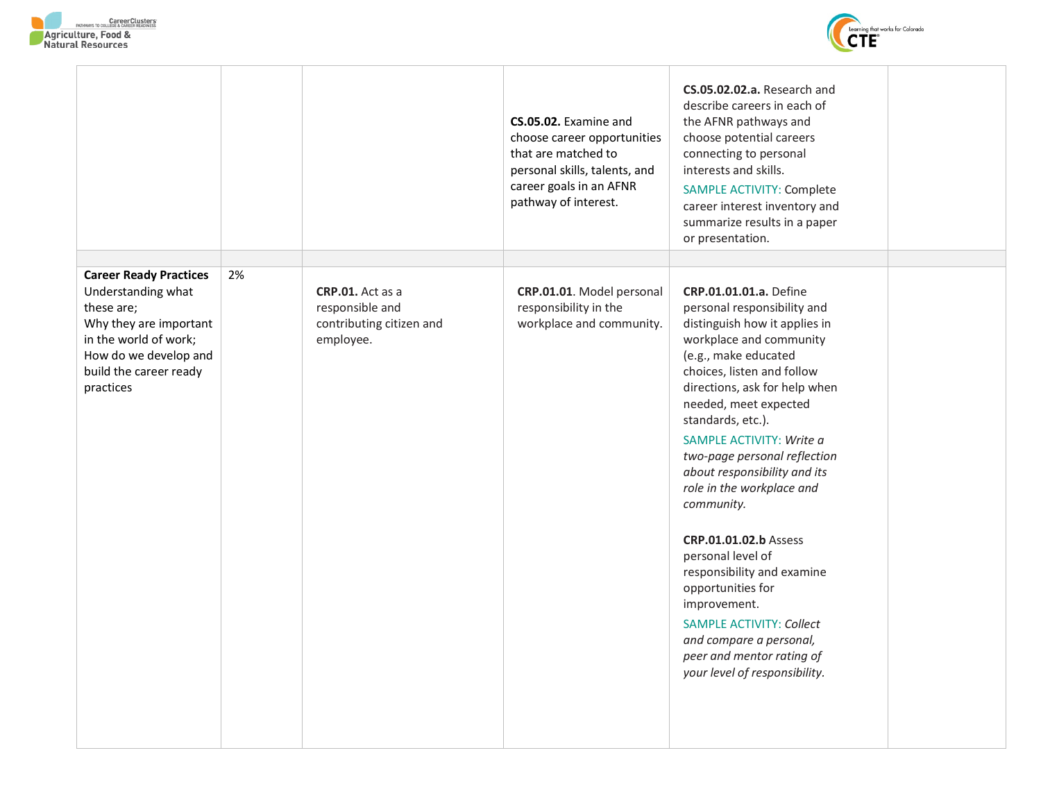



|                                                                                                                                                                                      |    |                                                                              | CS.05.02. Examine and<br>choose career opportunities<br>that are matched to<br>personal skills, talents, and<br>career goals in an AFNR<br>pathway of interest. | CS.05.02.02.a. Research and<br>describe careers in each of<br>the AFNR pathways and<br>choose potential careers<br>connecting to personal<br>interests and skills.<br>SAMPLE ACTIVITY: Complete<br>career interest inventory and<br>summarize results in a paper<br>or presentation.                                                                                                                                                                                                                                                                                                                                                                     |  |
|--------------------------------------------------------------------------------------------------------------------------------------------------------------------------------------|----|------------------------------------------------------------------------------|-----------------------------------------------------------------------------------------------------------------------------------------------------------------|----------------------------------------------------------------------------------------------------------------------------------------------------------------------------------------------------------------------------------------------------------------------------------------------------------------------------------------------------------------------------------------------------------------------------------------------------------------------------------------------------------------------------------------------------------------------------------------------------------------------------------------------------------|--|
| <b>Career Ready Practices</b><br>Understanding what<br>these are;<br>Why they are important<br>in the world of work;<br>How do we develop and<br>build the career ready<br>practices | 2% | CRP.01. Act as a<br>responsible and<br>contributing citizen and<br>employee. | CRP.01.01. Model personal<br>responsibility in the<br>workplace and community.                                                                                  | <b>CRP.01.01.01.a.</b> Define<br>personal responsibility and<br>distinguish how it applies in<br>workplace and community<br>(e.g., make educated<br>choices, listen and follow<br>directions, ask for help when<br>needed, meet expected<br>standards, etc.).<br>SAMPLE ACTIVITY: Write a<br>two-page personal reflection<br>about responsibility and its<br>role in the workplace and<br>community.<br><b>CRP.01.01.02.b Assess</b><br>personal level of<br>responsibility and examine<br>opportunities for<br>improvement.<br><b>SAMPLE ACTIVITY: Collect</b><br>and compare a personal,<br>peer and mentor rating of<br>your level of responsibility. |  |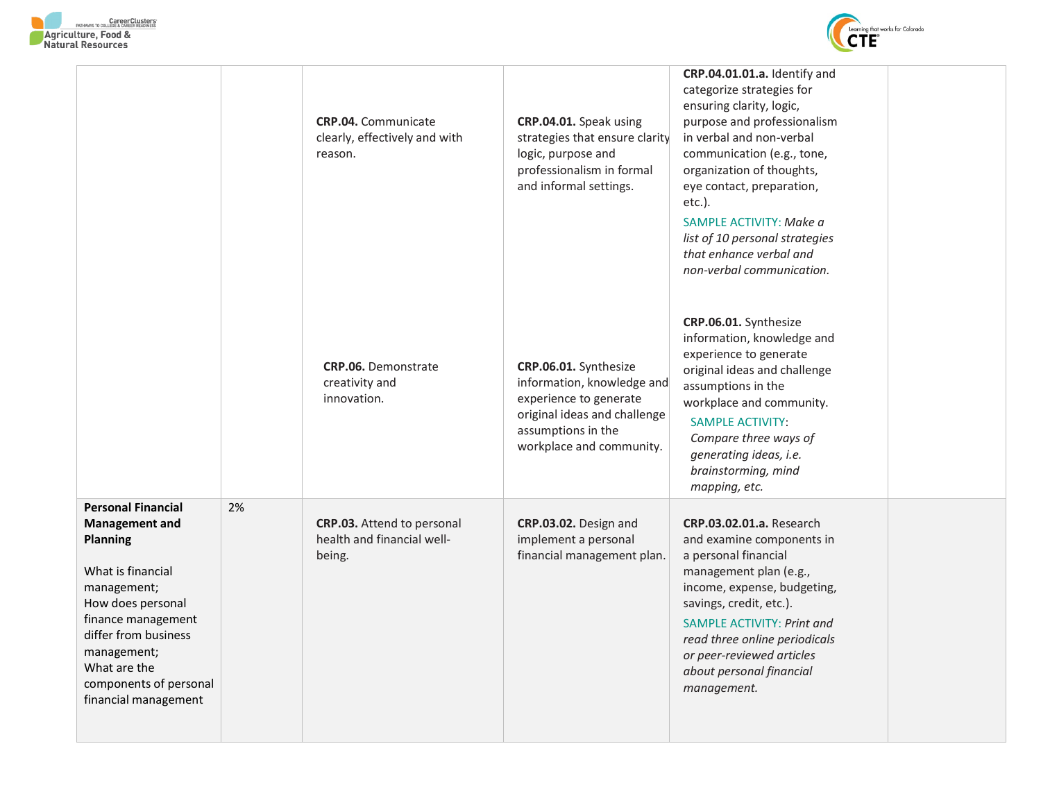

|                                                                                                                                                                                                                                                               |    | <b>CRP.04.</b> Communicate<br>clearly, effectively and with<br>reason. | CRP.04.01. Speak using<br>strategies that ensure clarity<br>logic, purpose and<br>professionalism in formal<br>and informal settings.                           | CRP.04.01.01.a. Identify and<br>categorize strategies for<br>ensuring clarity, logic,<br>purpose and professionalism<br>in verbal and non-verbal<br>communication (e.g., tone,<br>organization of thoughts,<br>eye contact, preparation,<br>$etc.$ ).<br>SAMPLE ACTIVITY: Make a<br>list of 10 personal strategies<br>that enhance verbal and<br>non-verbal communication. |  |
|---------------------------------------------------------------------------------------------------------------------------------------------------------------------------------------------------------------------------------------------------------------|----|------------------------------------------------------------------------|-----------------------------------------------------------------------------------------------------------------------------------------------------------------|----------------------------------------------------------------------------------------------------------------------------------------------------------------------------------------------------------------------------------------------------------------------------------------------------------------------------------------------------------------------------|--|
|                                                                                                                                                                                                                                                               |    | CRP.06. Demonstrate<br>creativity and<br>innovation.                   | CRP.06.01. Synthesize<br>information, knowledge and<br>experience to generate<br>original ideas and challenge<br>assumptions in the<br>workplace and community. | CRP.06.01. Synthesize<br>information, knowledge and<br>experience to generate<br>original ideas and challenge<br>assumptions in the<br>workplace and community.<br><b>SAMPLE ACTIVITY:</b><br>Compare three ways of<br>generating ideas, i.e.<br>brainstorming, mind<br>mapping, etc.                                                                                      |  |
| <b>Personal Financial</b><br><b>Management and</b><br><b>Planning</b><br>What is financial<br>management;<br>How does personal<br>finance management<br>differ from business<br>management;<br>What are the<br>components of personal<br>financial management | 2% | CRP.03. Attend to personal<br>health and financial well-<br>being.     | CRP.03.02. Design and<br>implement a personal<br>financial management plan.                                                                                     | <b>CRP.03.02.01.a.</b> Research<br>and examine components in<br>a personal financial<br>management plan (e.g.,<br>income, expense, budgeting,<br>savings, credit, etc.).<br><b>SAMPLE ACTIVITY: Print and</b><br>read three online periodicals<br>or peer-reviewed articles<br>about personal financial<br>management.                                                     |  |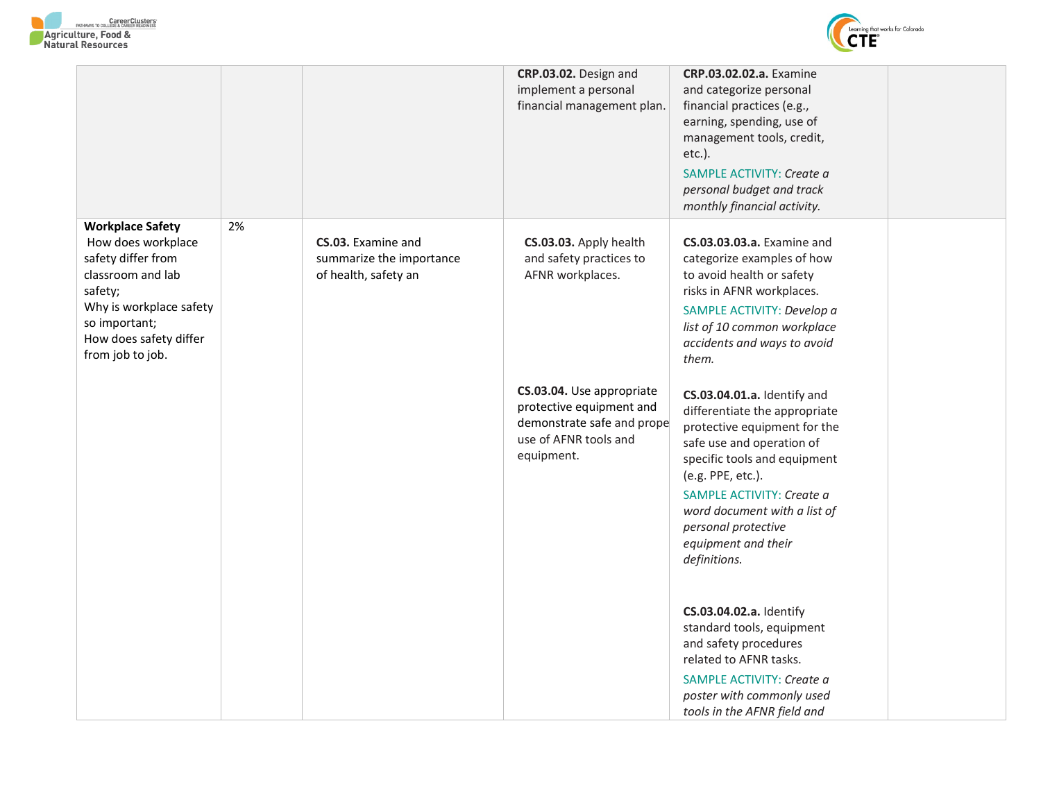



|                                                                                                                                                                                               |    |                                                                        | CRP.03.02. Design and<br>implement a personal<br>financial management plan.                                                | CRP.03.02.02.a. Examine<br>and categorize personal<br>financial practices (e.g.,<br>earning, spending, use of<br>management tools, credit,<br>etc.).<br>SAMPLE ACTIVITY: Create a<br>personal budget and track<br>monthly financial activity.                                                             |  |
|-----------------------------------------------------------------------------------------------------------------------------------------------------------------------------------------------|----|------------------------------------------------------------------------|----------------------------------------------------------------------------------------------------------------------------|-----------------------------------------------------------------------------------------------------------------------------------------------------------------------------------------------------------------------------------------------------------------------------------------------------------|--|
| <b>Workplace Safety</b><br>How does workplace<br>safety differ from<br>classroom and lab<br>safety;<br>Why is workplace safety<br>so important;<br>How does safety differ<br>from job to job. | 2% | CS.03. Examine and<br>summarize the importance<br>of health, safety an | CS.03.03. Apply health<br>and safety practices to<br>AFNR workplaces.                                                      | CS.03.03.03.a. Examine and<br>categorize examples of how<br>to avoid health or safety<br>risks in AFNR workplaces.<br>SAMPLE ACTIVITY: Develop a<br>list of 10 common workplace<br>accidents and ways to avoid<br>them.                                                                                   |  |
|                                                                                                                                                                                               |    |                                                                        | CS.03.04. Use appropriate<br>protective equipment and<br>demonstrate safe and prope<br>use of AFNR tools and<br>equipment. | CS.03.04.01.a. Identify and<br>differentiate the appropriate<br>protective equipment for the<br>safe use and operation of<br>specific tools and equipment<br>(e.g. PPE, etc.).<br>SAMPLE ACTIVITY: Create a<br>word document with a list of<br>personal protective<br>equipment and their<br>definitions. |  |
|                                                                                                                                                                                               |    |                                                                        |                                                                                                                            | CS.03.04.02.a. Identify<br>standard tools, equipment<br>and safety procedures<br>related to AFNR tasks.<br>SAMPLE ACTIVITY: Create a<br>poster with commonly used<br>tools in the AFNR field and                                                                                                          |  |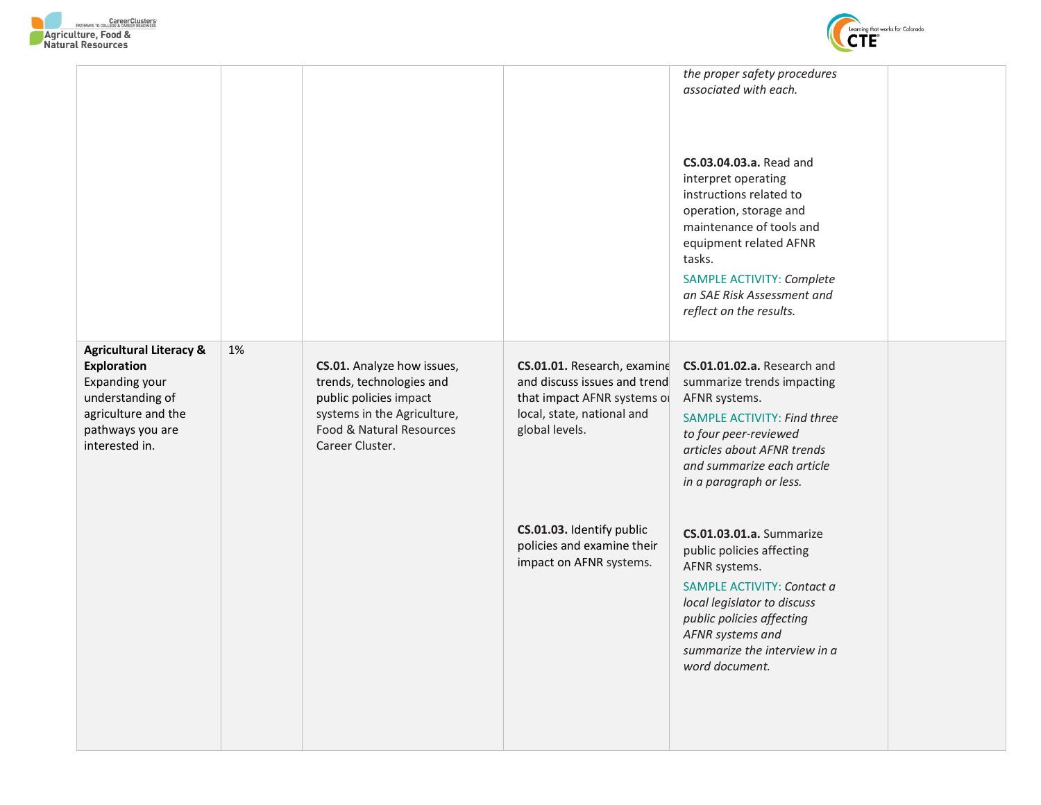

|                                                                                                                                                             |    |                                                                                                                                                                |                                                                                                                                            | the proper safety procedures<br>associated with each.<br>CS.03.04.03.a. Read and<br>interpret operating<br>instructions related to<br>operation, storage and<br>maintenance of tools and<br>equipment related AFNR<br>tasks.<br>SAMPLE ACTIVITY: Complete<br>an SAE Risk Assessment and<br>reflect on the results. |  |
|-------------------------------------------------------------------------------------------------------------------------------------------------------------|----|----------------------------------------------------------------------------------------------------------------------------------------------------------------|--------------------------------------------------------------------------------------------------------------------------------------------|--------------------------------------------------------------------------------------------------------------------------------------------------------------------------------------------------------------------------------------------------------------------------------------------------------------------|--|
| <b>Agricultural Literacy &amp;</b><br><b>Exploration</b><br>Expanding your<br>understanding of<br>agriculture and the<br>pathways you are<br>interested in. | 1% | CS.01. Analyze how issues,<br>trends, technologies and<br>public policies impact<br>systems in the Agriculture,<br>Food & Natural Resources<br>Career Cluster. | CS.01.01. Research, examine<br>and discuss issues and trend<br>that impact AFNR systems of<br>local, state, national and<br>global levels. | CS.01.01.02.a. Research and<br>summarize trends impacting<br>AFNR systems.<br><b>SAMPLE ACTIVITY: Find three</b><br>to four peer-reviewed<br>articles about AFNR trends<br>and summarize each article<br>in a paragraph or less.                                                                                   |  |
|                                                                                                                                                             |    |                                                                                                                                                                | CS.01.03. Identify public<br>policies and examine their<br>impact on AFNR systems.                                                         | <b>CS.01.03.01.a.</b> Summarize<br>public policies affecting<br>AFNR systems.<br>SAMPLE ACTIVITY: Contact a<br>local legislator to discuss<br>public policies affecting<br>AFNR systems and<br>summarize the interview in a<br>word document.                                                                      |  |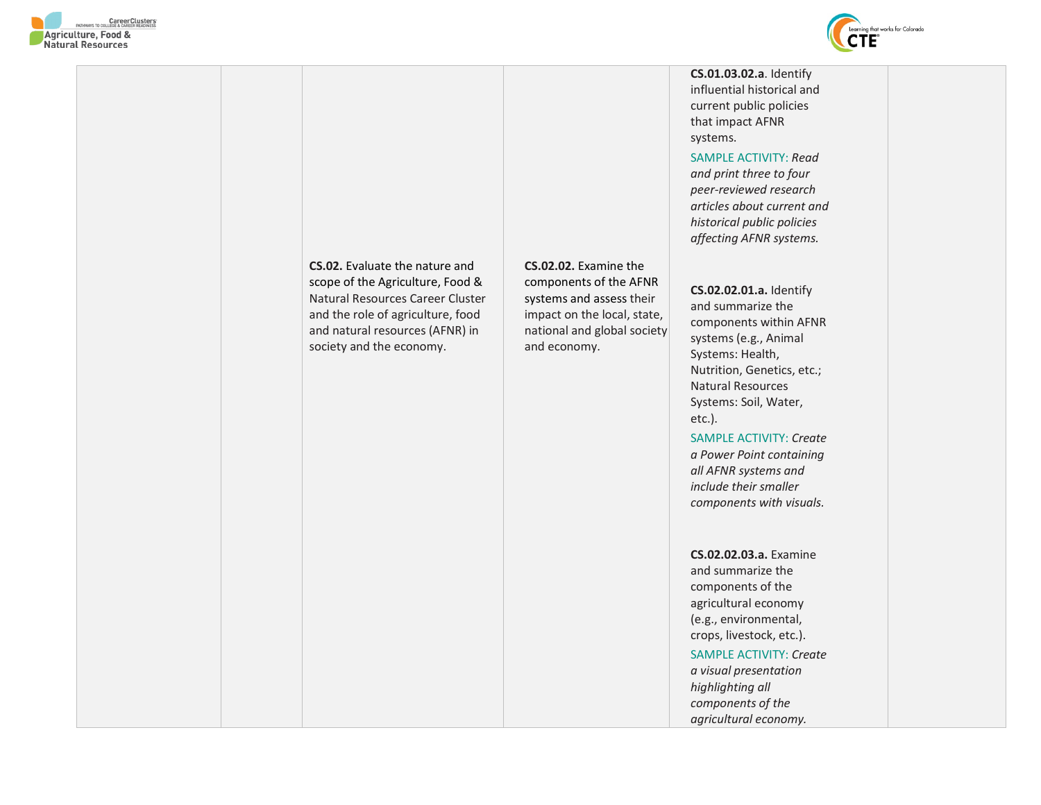





**CS.01.03.02.a**. Identify influential historical and current public policies that impact AFNR

SAMPLE ACTIVITY: *Read and print three to four peer-reviewed research articles about current and historical public policies affecting AFNR systems.* 

**CS.02.02.01.a.** Identify and summarize the components within AFNR systems (e.g., Animal Systems: Health, Nutrition, Genetics, etc.; Natural Resources Systems: Soil, Water,

SAMPLE ACTIVITY: *Create a Power Point containing all AFNR systems and include their smaller components with visuals.* 

**CS.02.02.03.a.** Examine and summarize the components of the agricultural economy (e.g., environmental, crops, livestock, etc.).

SAMPLE ACTIVITY: *Create a visual presentation highlighting all components of the agricultural economy.*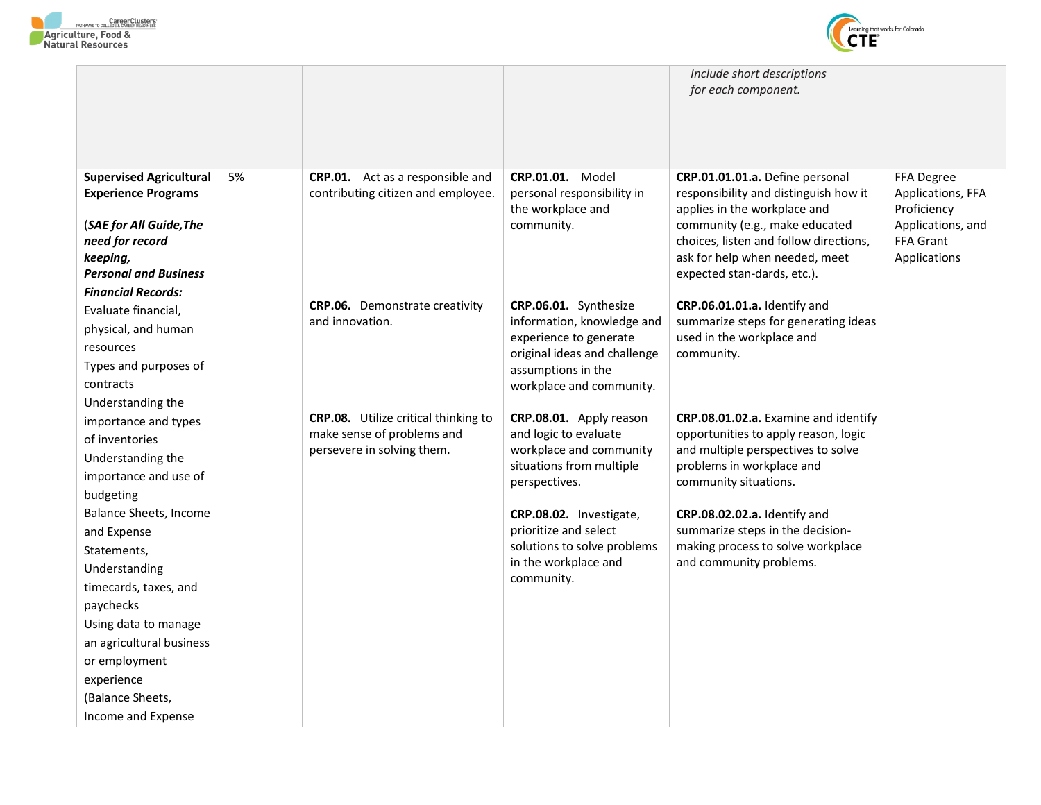



|                                            |    |                                       |                                                 | Include short descriptions<br>for each component.                     |                                  |
|--------------------------------------------|----|---------------------------------------|-------------------------------------------------|-----------------------------------------------------------------------|----------------------------------|
|                                            |    |                                       |                                                 |                                                                       |                                  |
| <b>Supervised Agricultural</b>             | 5% | CRP.01. Act as a responsible and      | <b>CRP.01.01. Model</b>                         | CRP.01.01.01.a. Define personal                                       | FFA Degree                       |
| <b>Experience Programs</b>                 |    | contributing citizen and employee.    | personal responsibility in<br>the workplace and | responsibility and distinguish how it<br>applies in the workplace and | Applications, FFA<br>Proficiency |
| (SAE for All Guide, The                    |    |                                       | community.                                      | community (e.g., make educated                                        | Applications, and                |
| need for record                            |    |                                       |                                                 | choices, listen and follow directions,                                | FFA Grant                        |
| keeping,                                   |    |                                       |                                                 | ask for help when needed, meet                                        | Applications                     |
| <b>Personal and Business</b>               |    |                                       |                                                 | expected stan-dards, etc.).                                           |                                  |
| <b>Financial Records:</b>                  |    | <b>CRP.06.</b> Demonstrate creativity | CRP.06.01. Synthesize                           | CRP.06.01.01.a. Identify and                                          |                                  |
| Evaluate financial,                        |    | and innovation.                       | information, knowledge and                      | summarize steps for generating ideas                                  |                                  |
| physical, and human                        |    |                                       | experience to generate                          | used in the workplace and                                             |                                  |
| resources                                  |    |                                       | original ideas and challenge                    | community.                                                            |                                  |
| Types and purposes of                      |    |                                       | assumptions in the                              |                                                                       |                                  |
| contracts                                  |    |                                       | workplace and community.                        |                                                                       |                                  |
| Understanding the                          |    | CRP.08. Utilize critical thinking to  | CRP.08.01. Apply reason                         | CRP.08.01.02.a. Examine and identify                                  |                                  |
| importance and types<br>of inventories     |    | make sense of problems and            | and logic to evaluate                           | opportunities to apply reason, logic                                  |                                  |
|                                            |    | persevere in solving them.            | workplace and community                         | and multiple perspectives to solve                                    |                                  |
| Understanding the<br>importance and use of |    |                                       | situations from multiple                        | problems in workplace and                                             |                                  |
| budgeting                                  |    |                                       | perspectives.                                   | community situations.                                                 |                                  |
| Balance Sheets, Income                     |    |                                       | CRP.08.02. Investigate,                         | CRP.08.02.02.a. Identify and                                          |                                  |
| and Expense                                |    |                                       | prioritize and select                           | summarize steps in the decision-                                      |                                  |
| Statements,                                |    |                                       | solutions to solve problems                     | making process to solve workplace                                     |                                  |
| Understanding                              |    |                                       | in the workplace and                            | and community problems.                                               |                                  |
| timecards, taxes, and                      |    |                                       | community.                                      |                                                                       |                                  |
| paychecks                                  |    |                                       |                                                 |                                                                       |                                  |
| Using data to manage                       |    |                                       |                                                 |                                                                       |                                  |
| an agricultural business                   |    |                                       |                                                 |                                                                       |                                  |
| or employment                              |    |                                       |                                                 |                                                                       |                                  |
| experience                                 |    |                                       |                                                 |                                                                       |                                  |
| (Balance Sheets,                           |    |                                       |                                                 |                                                                       |                                  |
| Income and Expense                         |    |                                       |                                                 |                                                                       |                                  |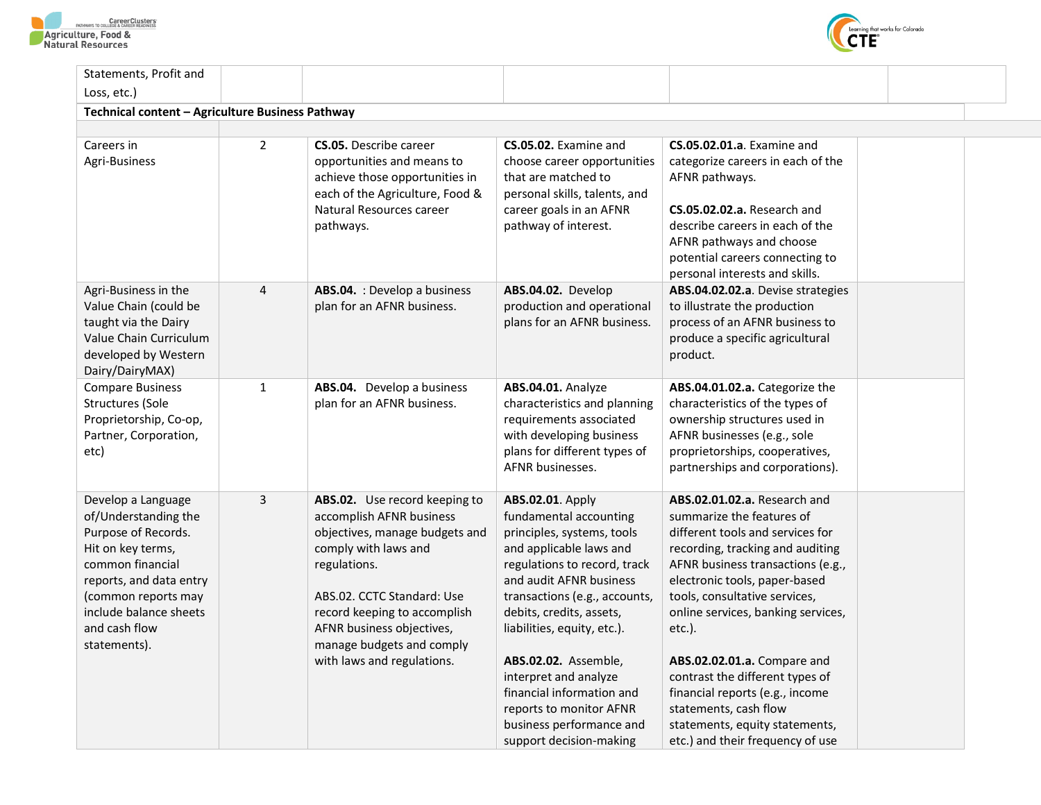



| $\overline{2}$ | <b>CS.05.</b> Describe career<br>opportunities and means to<br>achieve those opportunities in<br>each of the Agriculture, Food &<br>Natural Resources career<br>pathways.                                                                                                                 | CS.05.02. Examine and<br>choose career opportunities<br>that are matched to<br>personal skills, talents, and<br>career goals in an AFNR<br>pathway of interest.                                                                                                                                                                                                     | <b>CS.05.02.01.a.</b> Examine and<br>categorize careers in each of the<br>AFNR pathways.<br><b>CS.05.02.02.a.</b> Research and<br>describe careers in each of the<br>AFNR pathways and choose<br>potential careers connecting to<br>personal interests and skills.                                                                                                                                                     |                                |
|----------------|-------------------------------------------------------------------------------------------------------------------------------------------------------------------------------------------------------------------------------------------------------------------------------------------|---------------------------------------------------------------------------------------------------------------------------------------------------------------------------------------------------------------------------------------------------------------------------------------------------------------------------------------------------------------------|------------------------------------------------------------------------------------------------------------------------------------------------------------------------------------------------------------------------------------------------------------------------------------------------------------------------------------------------------------------------------------------------------------------------|--------------------------------|
| $\overline{4}$ | ABS.04. : Develop a business<br>plan for an AFNR business.                                                                                                                                                                                                                                | ABS.04.02. Develop<br>production and operational<br>plans for an AFNR business.                                                                                                                                                                                                                                                                                     | ABS.04.02.02.a. Devise strategies<br>to illustrate the production<br>process of an AFNR business to<br>produce a specific agricultural<br>product.                                                                                                                                                                                                                                                                     |                                |
| $\mathbf{1}$   | ABS.04. Develop a business<br>plan for an AFNR business.                                                                                                                                                                                                                                  | ABS.04.01. Analyze<br>characteristics and planning<br>requirements associated<br>with developing business<br>plans for different types of<br>AFNR businesses.                                                                                                                                                                                                       | ABS.04.01.02.a. Categorize the<br>characteristics of the types of<br>ownership structures used in<br>AFNR businesses (e.g., sole<br>proprietorships, cooperatives,<br>partnerships and corporations).                                                                                                                                                                                                                  |                                |
| $\mathbf{3}$   | ABS.02. Use record keeping to<br>accomplish AFNR business<br>objectives, manage budgets and<br>comply with laws and<br>regulations.<br>ABS.02. CCTC Standard: Use<br>record keeping to accomplish<br>AFNR business objectives,<br>manage budgets and comply<br>with laws and regulations. | ABS.02.01. Apply<br>fundamental accounting<br>principles, systems, tools<br>and applicable laws and<br>regulations to record, track<br>and audit AFNR business<br>transactions (e.g., accounts,<br>debits, credits, assets,<br>liabilities, equity, etc.).<br>ABS.02.02. Assemble,<br>interpret and analyze<br>financial information and<br>reports to monitor AFNR | ABS.02.01.02.a. Research and<br>summarize the features of<br>different tools and services for<br>recording, tracking and auditing<br>AFNR business transactions (e.g.,<br>electronic tools, paper-based<br>tools, consultative services,<br>online services, banking services,<br>etc.).<br>ABS.02.02.01.a. Compare and<br>contrast the different types of<br>financial reports (e.g., income<br>statements, cash flow |                                |
|                |                                                                                                                                                                                                                                                                                           | Technical content - Agriculture Business Pathway                                                                                                                                                                                                                                                                                                                    | business performance and                                                                                                                                                                                                                                                                                                                                                                                               | statements, equity statements, |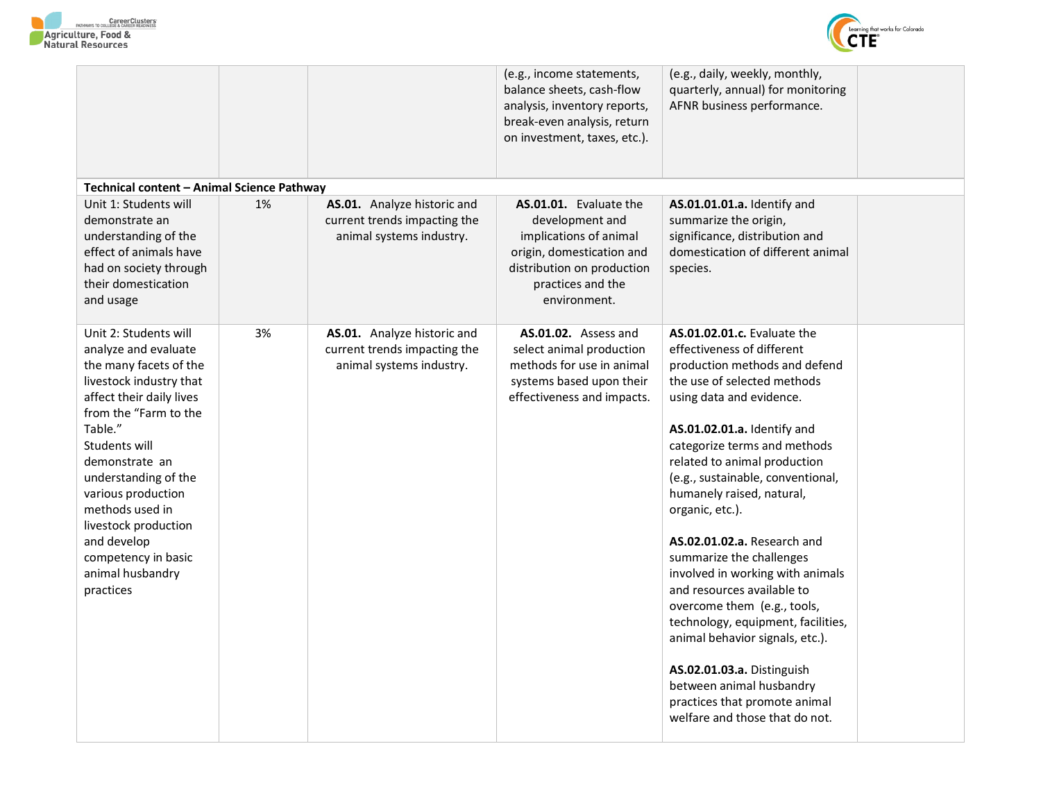



|                                                                                                                                                                                                                                                                                                                                                                       |    |                                                                                         | (e.g., income statements,<br>balance sheets, cash-flow<br>analysis, inventory reports,<br>break-even analysis, return<br>on investment, taxes, etc.).               | (e.g., daily, weekly, monthly,<br>quarterly, annual) for monitoring<br>AFNR business performance.                                                                                                                                                                                                                                                                                                                                                                                                                                                                                                                                                                                                                         |  |
|-----------------------------------------------------------------------------------------------------------------------------------------------------------------------------------------------------------------------------------------------------------------------------------------------------------------------------------------------------------------------|----|-----------------------------------------------------------------------------------------|---------------------------------------------------------------------------------------------------------------------------------------------------------------------|---------------------------------------------------------------------------------------------------------------------------------------------------------------------------------------------------------------------------------------------------------------------------------------------------------------------------------------------------------------------------------------------------------------------------------------------------------------------------------------------------------------------------------------------------------------------------------------------------------------------------------------------------------------------------------------------------------------------------|--|
| Technical content – Animal Science Pathway                                                                                                                                                                                                                                                                                                                            |    |                                                                                         |                                                                                                                                                                     |                                                                                                                                                                                                                                                                                                                                                                                                                                                                                                                                                                                                                                                                                                                           |  |
| Unit 1: Students will<br>demonstrate an<br>understanding of the<br>effect of animals have<br>had on society through<br>their domestication<br>and usage                                                                                                                                                                                                               | 1% | AS.01. Analyze historic and<br>current trends impacting the<br>animal systems industry. | AS.01.01. Evaluate the<br>development and<br>implications of animal<br>origin, domestication and<br>distribution on production<br>practices and the<br>environment. | AS.01.01.01.a. Identify and<br>summarize the origin,<br>significance, distribution and<br>domestication of different animal<br>species.                                                                                                                                                                                                                                                                                                                                                                                                                                                                                                                                                                                   |  |
| Unit 2: Students will<br>analyze and evaluate<br>the many facets of the<br>livestock industry that<br>affect their daily lives<br>from the "Farm to the<br>Table."<br>Students will<br>demonstrate an<br>understanding of the<br>various production<br>methods used in<br>livestock production<br>and develop<br>competency in basic<br>animal husbandry<br>practices | 3% | AS.01. Analyze historic and<br>current trends impacting the<br>animal systems industry. | AS.01.02. Assess and<br>select animal production<br>methods for use in animal<br>systems based upon their<br>effectiveness and impacts.                             | <b>AS.01.02.01.c.</b> Evaluate the<br>effectiveness of different<br>production methods and defend<br>the use of selected methods<br>using data and evidence.<br>AS.01.02.01.a. Identify and<br>categorize terms and methods<br>related to animal production<br>(e.g., sustainable, conventional,<br>humanely raised, natural,<br>organic, etc.).<br><b>AS.02.01.02.a.</b> Research and<br>summarize the challenges<br>involved in working with animals<br>and resources available to<br>overcome them (e.g., tools,<br>technology, equipment, facilities,<br>animal behavior signals, etc.).<br>AS.02.01.03.a. Distinguish<br>between animal husbandry<br>practices that promote animal<br>welfare and those that do not. |  |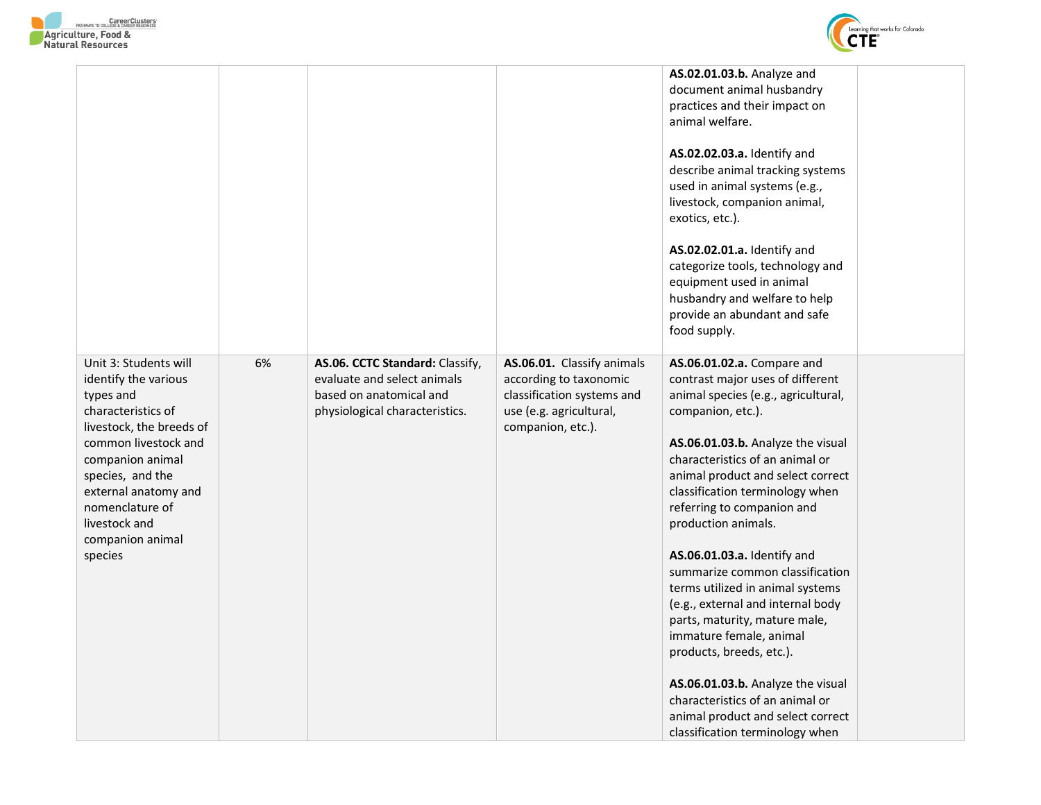



|                                                                                                                                                                                                                                                                         |    |                                                                                                                             |                                                                                                                                    | AS.02.01.03.b. Analyze and<br>document animal husbandry<br>practices and their impact on<br>animal welfare.<br>AS.02.02.03.a. Identify and<br>describe animal tracking systems<br>used in animal systems (e.g.,<br>livestock, companion animal,<br>exotics, etc.).<br>AS.02.02.01.a. Identify and<br>categorize tools, technology and<br>equipment used in animal<br>husbandry and welfare to help<br>provide an abundant and safe<br>food supply.                                                                                                                                                                                                                                                                 |  |
|-------------------------------------------------------------------------------------------------------------------------------------------------------------------------------------------------------------------------------------------------------------------------|----|-----------------------------------------------------------------------------------------------------------------------------|------------------------------------------------------------------------------------------------------------------------------------|--------------------------------------------------------------------------------------------------------------------------------------------------------------------------------------------------------------------------------------------------------------------------------------------------------------------------------------------------------------------------------------------------------------------------------------------------------------------------------------------------------------------------------------------------------------------------------------------------------------------------------------------------------------------------------------------------------------------|--|
| Unit 3: Students will<br>identify the various<br>types and<br>characteristics of<br>livestock, the breeds of<br>common livestock and<br>companion animal<br>species, and the<br>external anatomy and<br>nomenclature of<br>livestock and<br>companion animal<br>species | 6% | AS.06. CCTC Standard: Classify,<br>evaluate and select animals<br>based on anatomical and<br>physiological characteristics. | AS.06.01. Classify animals<br>according to taxonomic<br>classification systems and<br>use (e.g. agricultural,<br>companion, etc.). | AS.06.01.02.a. Compare and<br>contrast major uses of different<br>animal species (e.g., agricultural,<br>companion, etc.).<br>AS.06.01.03.b. Analyze the visual<br>characteristics of an animal or<br>animal product and select correct<br>classification terminology when<br>referring to companion and<br>production animals.<br>AS.06.01.03.a. Identify and<br>summarize common classification<br>terms utilized in animal systems<br>(e.g., external and internal body<br>parts, maturity, mature male,<br>immature female, animal<br>products, breeds, etc.).<br>AS.06.01.03.b. Analyze the visual<br>characteristics of an animal or<br>animal product and select correct<br>classification terminology when |  |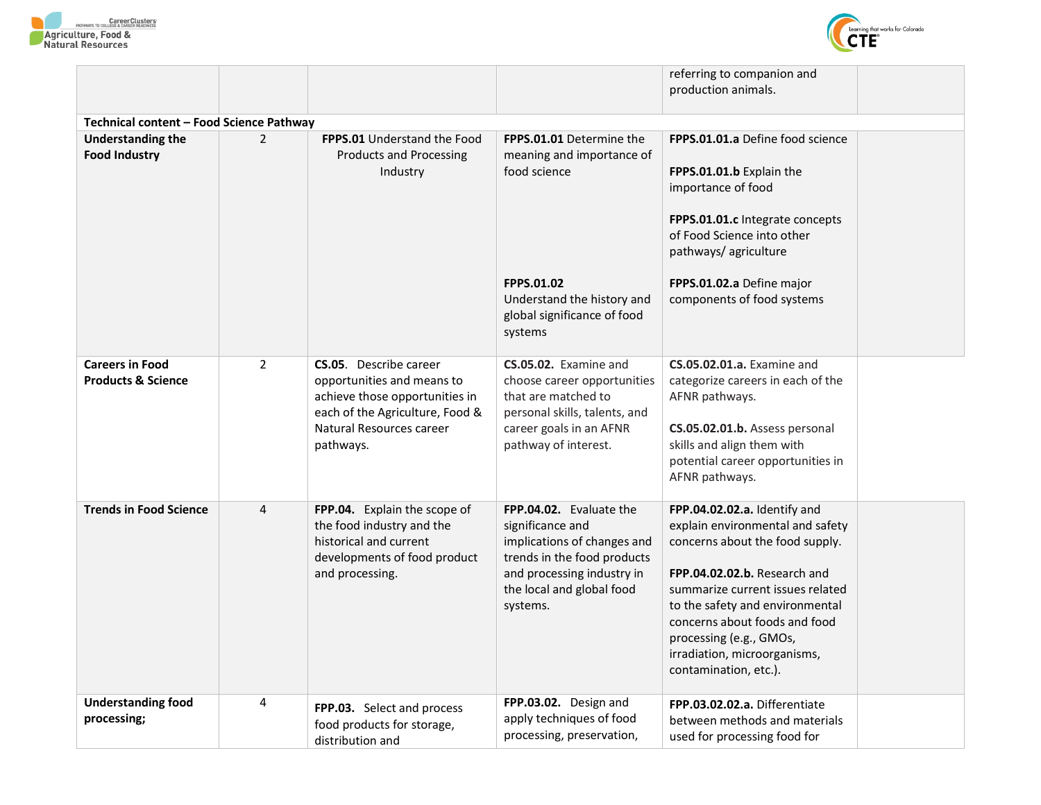



|                                                                                                                                                         |                |                                                                   |                                                            | referring to companion and                               |  |  |
|---------------------------------------------------------------------------------------------------------------------------------------------------------|----------------|-------------------------------------------------------------------|------------------------------------------------------------|----------------------------------------------------------|--|--|
|                                                                                                                                                         |                |                                                                   |                                                            | production animals.                                      |  |  |
| Technical content - Food Science Pathway                                                                                                                |                |                                                                   |                                                            |                                                          |  |  |
| FPPS.01.01.a Define food science<br><b>Understanding the</b><br>$\overline{2}$<br><b>FPPS.01</b> Understand the Food<br><b>FPPS.01.01</b> Determine the |                |                                                                   |                                                            |                                                          |  |  |
| <b>Food Industry</b>                                                                                                                                    |                | <b>Products and Processing</b>                                    | meaning and importance of                                  |                                                          |  |  |
|                                                                                                                                                         |                | Industry                                                          | food science                                               | FPPS.01.01.b Explain the                                 |  |  |
|                                                                                                                                                         |                |                                                                   |                                                            | importance of food                                       |  |  |
|                                                                                                                                                         |                |                                                                   |                                                            | FPPS.01.01.c Integrate concepts                          |  |  |
|                                                                                                                                                         |                |                                                                   |                                                            | of Food Science into other                               |  |  |
|                                                                                                                                                         |                |                                                                   |                                                            | pathways/ agriculture                                    |  |  |
|                                                                                                                                                         |                |                                                                   | <b>FPPS.01.02</b>                                          | FPPS.01.02.a Define major                                |  |  |
|                                                                                                                                                         |                |                                                                   | Understand the history and                                 | components of food systems                               |  |  |
|                                                                                                                                                         |                |                                                                   | global significance of food                                |                                                          |  |  |
|                                                                                                                                                         |                |                                                                   | systems                                                    |                                                          |  |  |
| <b>Careers in Food</b>                                                                                                                                  | $\overline{2}$ | <b>CS.05.</b> Describe career                                     | CS.05.02. Examine and                                      | <b>CS.05.02.01.a.</b> Examine and                        |  |  |
| <b>Products &amp; Science</b>                                                                                                                           |                | opportunities and means to                                        | choose career opportunities                                | categorize careers in each of the                        |  |  |
|                                                                                                                                                         |                | achieve those opportunities in<br>each of the Agriculture, Food & | that are matched to<br>personal skills, talents, and       | AFNR pathways.                                           |  |  |
|                                                                                                                                                         |                | Natural Resources career                                          | career goals in an AFNR                                    | CS.05.02.01.b. Assess personal                           |  |  |
|                                                                                                                                                         |                | pathways.                                                         | pathway of interest.                                       | skills and align them with                               |  |  |
|                                                                                                                                                         |                |                                                                   |                                                            | potential career opportunities in                        |  |  |
|                                                                                                                                                         |                |                                                                   |                                                            | AFNR pathways.                                           |  |  |
| <b>Trends in Food Science</b>                                                                                                                           | $\overline{4}$ | FPP.04. Explain the scope of                                      | FPP.04.02. Evaluate the                                    | FPP.04.02.02.a. Identify and                             |  |  |
|                                                                                                                                                         |                | the food industry and the                                         | significance and                                           | explain environmental and safety                         |  |  |
|                                                                                                                                                         |                | historical and current<br>developments of food product            | implications of changes and<br>trends in the food products | concerns about the food supply.                          |  |  |
|                                                                                                                                                         |                | and processing.                                                   | and processing industry in                                 | FPP.04.02.02.b. Research and                             |  |  |
|                                                                                                                                                         |                |                                                                   | the local and global food                                  | summarize current issues related                         |  |  |
|                                                                                                                                                         |                |                                                                   | systems.                                                   | to the safety and environmental                          |  |  |
|                                                                                                                                                         |                |                                                                   |                                                            | concerns about foods and food<br>processing (e.g., GMOs, |  |  |
|                                                                                                                                                         |                |                                                                   |                                                            | irradiation, microorganisms,                             |  |  |
|                                                                                                                                                         |                |                                                                   |                                                            | contamination, etc.).                                    |  |  |
| <b>Understanding food</b>                                                                                                                               | 4              | FPP.03. Select and process                                        | FPP.03.02. Design and                                      | FPP.03.02.02.a. Differentiate                            |  |  |
| processing;                                                                                                                                             |                | food products for storage,                                        | apply techniques of food                                   | between methods and materials                            |  |  |
|                                                                                                                                                         |                | distribution and                                                  | processing, preservation,                                  | used for processing food for                             |  |  |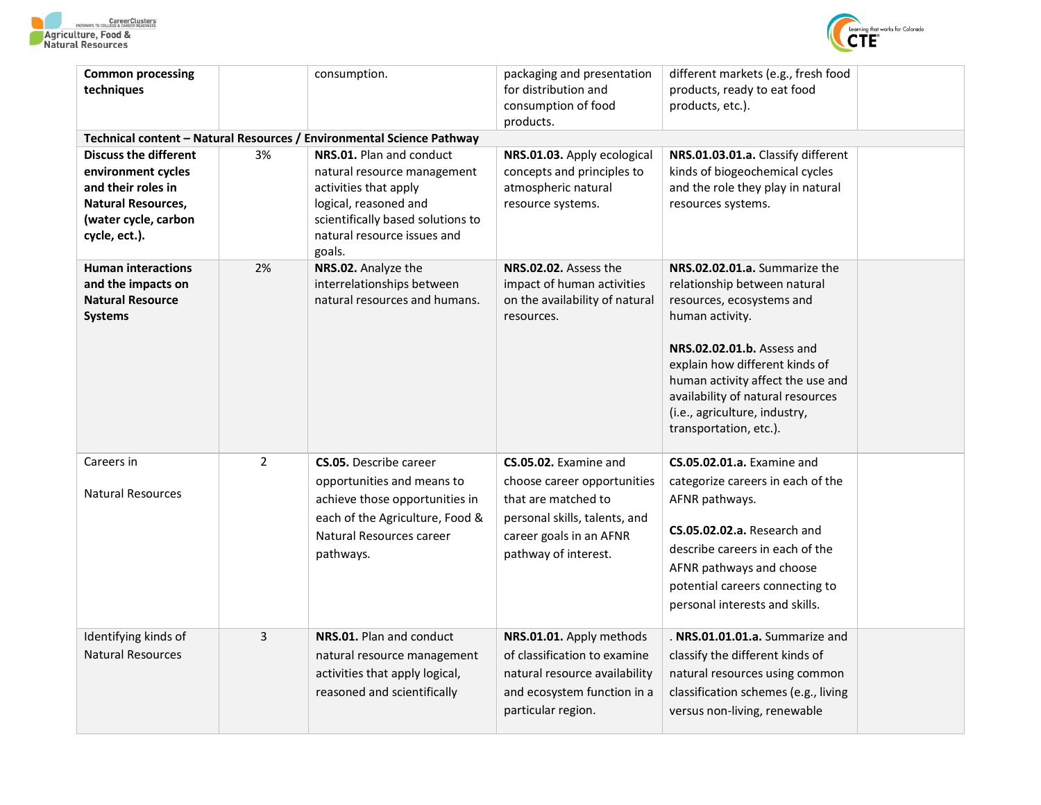



| <b>Common processing</b><br>techniques                                                                                                         |                | consumption.                                                                                                                                                                                                                                                     | packaging and presentation<br>for distribution and<br>consumption of food<br>products.                                                                          | different markets (e.g., fresh food<br>products, ready to eat food<br>products, etc.).                                                                                                                                                                                                                             |  |
|------------------------------------------------------------------------------------------------------------------------------------------------|----------------|------------------------------------------------------------------------------------------------------------------------------------------------------------------------------------------------------------------------------------------------------------------|-----------------------------------------------------------------------------------------------------------------------------------------------------------------|--------------------------------------------------------------------------------------------------------------------------------------------------------------------------------------------------------------------------------------------------------------------------------------------------------------------|--|
| <b>Discuss the different</b><br>environment cycles<br>and their roles in<br><b>Natural Resources,</b><br>(water cycle, carbon<br>cycle, ect.). | 3%             | Technical content - Natural Resources / Environmental Science Pathway<br>NRS.01. Plan and conduct<br>natural resource management<br>activities that apply<br>logical, reasoned and<br>scientifically based solutions to<br>natural resource issues and<br>goals. | NRS.01.03. Apply ecological<br>concepts and principles to<br>atmospheric natural<br>resource systems.                                                           | NRS.01.03.01.a. Classify different<br>kinds of biogeochemical cycles<br>and the role they play in natural<br>resources systems.                                                                                                                                                                                    |  |
| <b>Human interactions</b><br>and the impacts on<br><b>Natural Resource</b><br><b>Systems</b>                                                   | 2%             | NRS.02. Analyze the<br>interrelationships between<br>natural resources and humans.                                                                                                                                                                               | NRS.02.02. Assess the<br>impact of human activities<br>on the availability of natural<br>resources.                                                             | NRS.02.02.01.a. Summarize the<br>relationship between natural<br>resources, ecosystems and<br>human activity.<br>NRS.02.02.01.b. Assess and<br>explain how different kinds of<br>human activity affect the use and<br>availability of natural resources<br>(i.e., agriculture, industry,<br>transportation, etc.). |  |
| Careers in<br><b>Natural Resources</b>                                                                                                         | $\overline{2}$ | <b>CS.05.</b> Describe career<br>opportunities and means to<br>achieve those opportunities in<br>each of the Agriculture, Food &<br>Natural Resources career<br>pathways.                                                                                        | CS.05.02. Examine and<br>choose career opportunities<br>that are matched to<br>personal skills, talents, and<br>career goals in an AFNR<br>pathway of interest. | <b>CS.05.02.01.a.</b> Examine and<br>categorize careers in each of the<br>AFNR pathways.<br><b>CS.05.02.02.a.</b> Research and<br>describe careers in each of the<br>AFNR pathways and choose<br>potential careers connecting to<br>personal interests and skills.                                                 |  |
| Identifying kinds of<br><b>Natural Resources</b>                                                                                               | 3              | NRS.01. Plan and conduct<br>natural resource management<br>activities that apply logical,<br>reasoned and scientifically                                                                                                                                         | NRS.01.01. Apply methods<br>of classification to examine<br>natural resource availability<br>and ecosystem function in a<br>particular region.                  | . NRS.01.01.01.a. Summarize and<br>classify the different kinds of<br>natural resources using common<br>classification schemes (e.g., living<br>versus non-living, renewable                                                                                                                                       |  |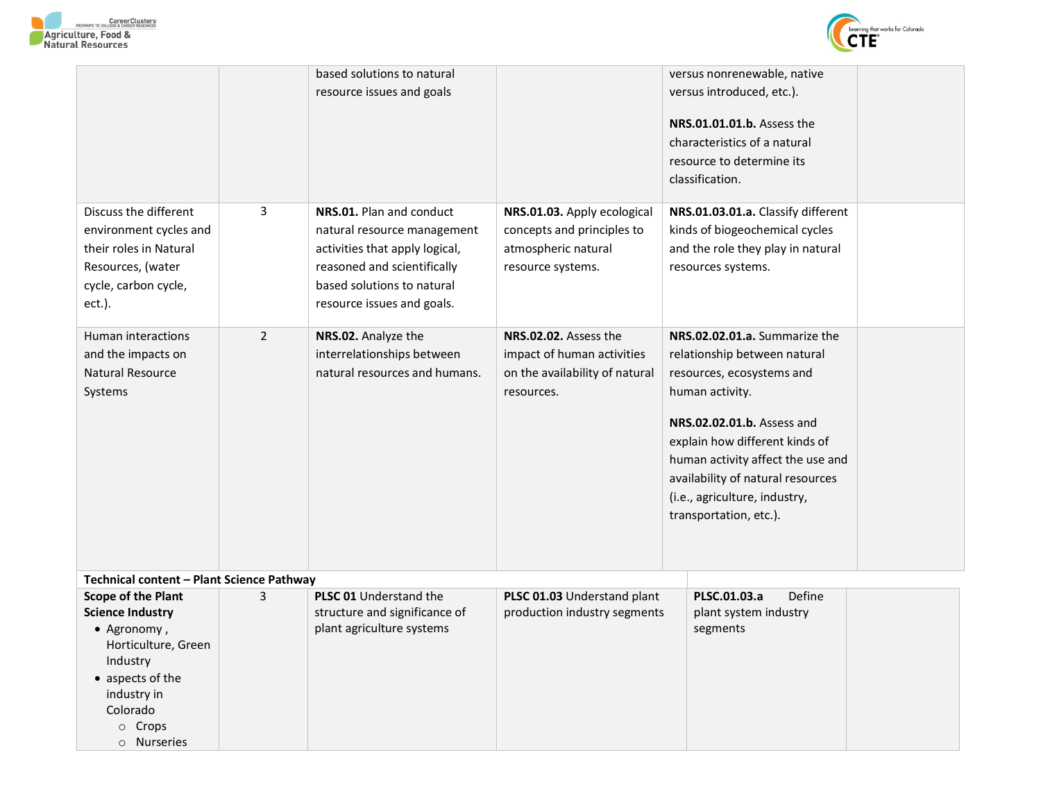



|                                                                                                                                                                                       |                | based solutions to natural                                                                                                                                                           |                                                                                                       | versus nonrenewable, native                                                                                                                                                                                                                                                                                        |
|---------------------------------------------------------------------------------------------------------------------------------------------------------------------------------------|----------------|--------------------------------------------------------------------------------------------------------------------------------------------------------------------------------------|-------------------------------------------------------------------------------------------------------|--------------------------------------------------------------------------------------------------------------------------------------------------------------------------------------------------------------------------------------------------------------------------------------------------------------------|
|                                                                                                                                                                                       |                | resource issues and goals                                                                                                                                                            |                                                                                                       | versus introduced, etc.).                                                                                                                                                                                                                                                                                          |
|                                                                                                                                                                                       |                |                                                                                                                                                                                      |                                                                                                       | NRS.01.01.01.b. Assess the<br>characteristics of a natural<br>resource to determine its<br>classification.                                                                                                                                                                                                         |
| Discuss the different<br>environment cycles and<br>their roles in Natural<br>Resources, (water<br>cycle, carbon cycle,<br>ect.).                                                      | 3              | NRS.01. Plan and conduct<br>natural resource management<br>activities that apply logical,<br>reasoned and scientifically<br>based solutions to natural<br>resource issues and goals. | NRS.01.03. Apply ecological<br>concepts and principles to<br>atmospheric natural<br>resource systems. | NRS.01.03.01.a. Classify different<br>kinds of biogeochemical cycles<br>and the role they play in natural<br>resources systems.                                                                                                                                                                                    |
| Human interactions<br>and the impacts on<br>Natural Resource<br>Systems                                                                                                               | $\overline{2}$ | NRS.02. Analyze the<br>interrelationships between<br>natural resources and humans.                                                                                                   | NRS.02.02. Assess the<br>impact of human activities<br>on the availability of natural<br>resources.   | NRS.02.02.01.a. Summarize the<br>relationship between natural<br>resources, ecosystems and<br>human activity.<br>NRS.02.02.01.b. Assess and<br>explain how different kinds of<br>human activity affect the use and<br>availability of natural resources<br>(i.e., agriculture, industry,<br>transportation, etc.). |
| Technical content - Plant Science Pathway                                                                                                                                             |                |                                                                                                                                                                                      |                                                                                                       |                                                                                                                                                                                                                                                                                                                    |
| <b>Scope of the Plant</b><br><b>Science Industry</b><br>• Agronomy,<br>Horticulture, Green<br>Industry<br>• aspects of the<br>industry in<br>Colorado<br>$\circ$ Crops<br>o Nurseries | 3              | PLSC 01 Understand the<br>structure and significance of<br>plant agriculture systems                                                                                                 | PLSC 01.03 Understand plant<br>production industry segments                                           | Define<br>PLSC.01.03.a<br>plant system industry<br>segments                                                                                                                                                                                                                                                        |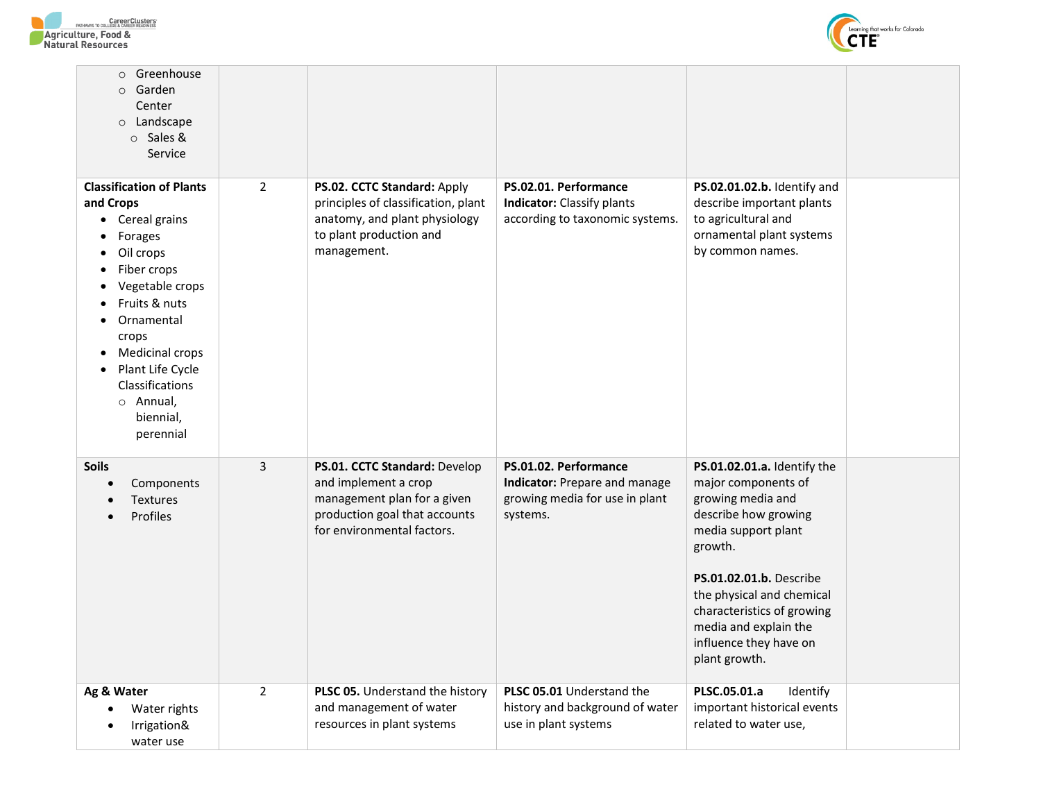



| Greenhouse<br>$\circ$<br>Garden<br>$\circ$<br>Center<br>$\circ$ Landscape<br>○ Sales &<br>Service                                                                                                                                                                                                              |                |                                                                                                                                                     |                                                                                                      |                                                                                                                                                                                                                                                                                             |  |
|----------------------------------------------------------------------------------------------------------------------------------------------------------------------------------------------------------------------------------------------------------------------------------------------------------------|----------------|-----------------------------------------------------------------------------------------------------------------------------------------------------|------------------------------------------------------------------------------------------------------|---------------------------------------------------------------------------------------------------------------------------------------------------------------------------------------------------------------------------------------------------------------------------------------------|--|
| <b>Classification of Plants</b><br>and Crops<br>Cereal grains<br>$\bullet$<br>Forages<br>Oil crops<br>$\bullet$<br>Fiber crops<br>$\bullet$<br>Vegetable crops<br>Fruits & nuts<br>Ornamental<br>crops<br>Medicinal crops<br>Plant Life Cycle<br><b>Classifications</b><br>o Annual,<br>biennial,<br>perennial | $\overline{2}$ | PS.02. CCTC Standard: Apply<br>principles of classification, plant<br>anatomy, and plant physiology<br>to plant production and<br>management.       | PS.02.01. Performance<br><b>Indicator:</b> Classify plants<br>according to taxonomic systems.        | PS.02.01.02.b. Identify and<br>describe important plants<br>to agricultural and<br>ornamental plant systems<br>by common names.                                                                                                                                                             |  |
| <b>Soils</b><br>Components<br><b>Textures</b><br>Profiles                                                                                                                                                                                                                                                      | 3              | PS.01. CCTC Standard: Develop<br>and implement a crop<br>management plan for a given<br>production goal that accounts<br>for environmental factors. | PS.01.02. Performance<br>Indicator: Prepare and manage<br>growing media for use in plant<br>systems. | PS.01.02.01.a. Identify the<br>major components of<br>growing media and<br>describe how growing<br>media support plant<br>growth.<br>PS.01.02.01.b. Describe<br>the physical and chemical<br>characteristics of growing<br>media and explain the<br>influence they have on<br>plant growth. |  |
| Ag & Water<br>Water rights<br>Irrigation&<br>water use                                                                                                                                                                                                                                                         | $\overline{2}$ | PLSC 05. Understand the history<br>and management of water<br>resources in plant systems                                                            | PLSC 05.01 Understand the<br>history and background of water<br>use in plant systems                 | PLSC.05.01.a<br>Identify<br>important historical events<br>related to water use,                                                                                                                                                                                                            |  |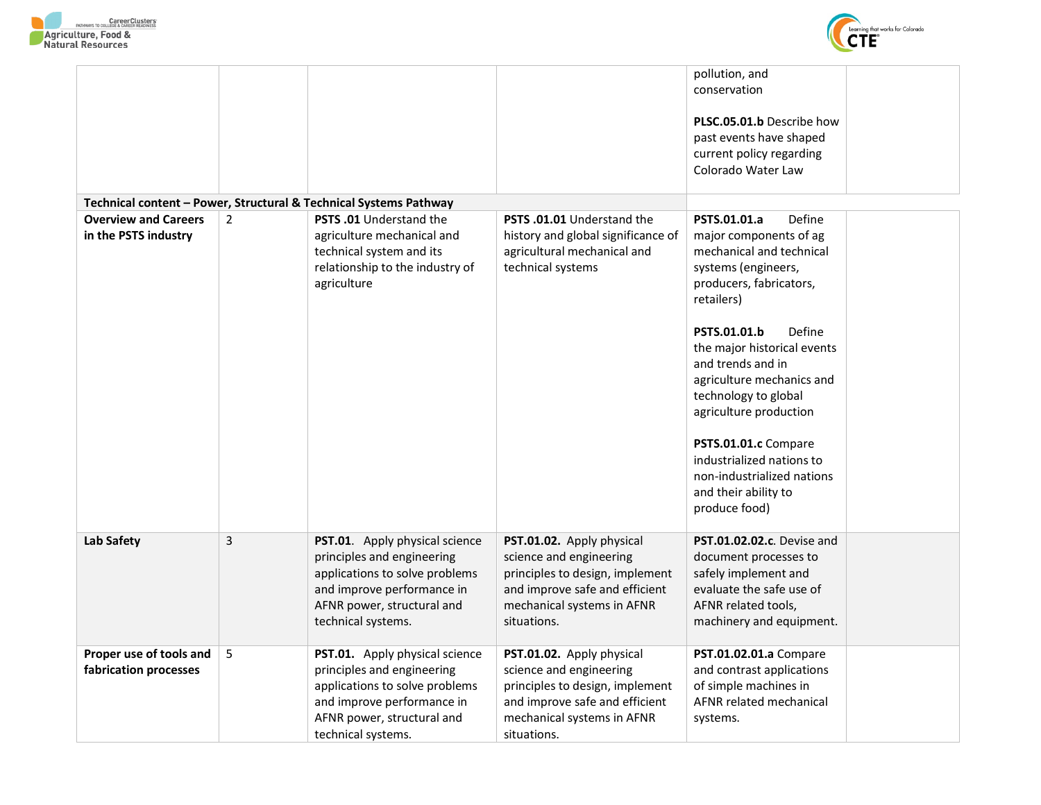



|                                                     |                |                                                                                                                                                                                  |                                                                                                                                                                        | pollution, and<br>conservation<br>PLSC.05.01.b Describe how<br>past events have shaped<br>current policy regarding<br>Colorado Water Law                                                                                                                                                                                                                                                                                              |  |
|-----------------------------------------------------|----------------|----------------------------------------------------------------------------------------------------------------------------------------------------------------------------------|------------------------------------------------------------------------------------------------------------------------------------------------------------------------|---------------------------------------------------------------------------------------------------------------------------------------------------------------------------------------------------------------------------------------------------------------------------------------------------------------------------------------------------------------------------------------------------------------------------------------|--|
|                                                     |                | Technical content - Power, Structural & Technical Systems Pathway                                                                                                                |                                                                                                                                                                        |                                                                                                                                                                                                                                                                                                                                                                                                                                       |  |
| <b>Overview and Careers</b><br>in the PSTS industry | $\overline{2}$ | <b>PSTS .01</b> Understand the<br>agriculture mechanical and<br>technical system and its<br>relationship to the industry of<br>agriculture                                       | <b>PSTS .01.01</b> Understand the<br>history and global significance of<br>agricultural mechanical and<br>technical systems                                            | Define<br>PSTS.01.01.a<br>major components of ag<br>mechanical and technical<br>systems (engineers,<br>producers, fabricators,<br>retailers)<br>Define<br>PSTS.01.01.b<br>the major historical events<br>and trends and in<br>agriculture mechanics and<br>technology to global<br>agriculture production<br>PSTS.01.01.c Compare<br>industrialized nations to<br>non-industrialized nations<br>and their ability to<br>produce food) |  |
| Lab Safety                                          | 3              | PST.01. Apply physical science<br>principles and engineering<br>applications to solve problems<br>and improve performance in<br>AFNR power, structural and<br>technical systems. | PST.01.02. Apply physical<br>science and engineering<br>principles to design, implement<br>and improve safe and efficient<br>mechanical systems in AFNR<br>situations. | <b>PST.01.02.02.c.</b> Devise and<br>document processes to<br>safely implement and<br>evaluate the safe use of<br>AFNR related tools,<br>machinery and equipment.                                                                                                                                                                                                                                                                     |  |
| Proper use of tools and<br>fabrication processes    | 5              | PST.01. Apply physical science<br>principles and engineering<br>applications to solve problems<br>and improve performance in<br>AFNR power, structural and<br>technical systems. | PST.01.02. Apply physical<br>science and engineering<br>principles to design, implement<br>and improve safe and efficient<br>mechanical systems in AFNR<br>situations. | PST.01.02.01.a Compare<br>and contrast applications<br>of simple machines in<br>AFNR related mechanical<br>systems.                                                                                                                                                                                                                                                                                                                   |  |